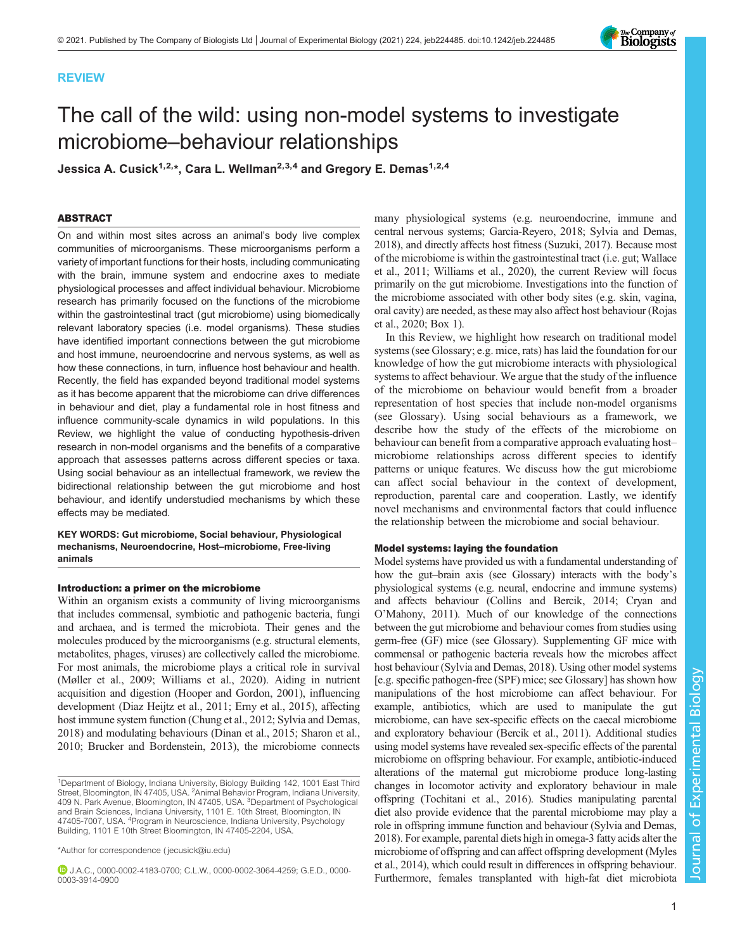# REVIEW

# The call of the wild: using non-model systems to investigate microbiome–behaviour relationships

Jessica A. Cusick<sup>1,2,\*</sup>, Cara L. Wellman<sup>2,3,4</sup> and Gregory E. Demas<sup>1,2,4</sup>

# ABSTRACT

On and within most sites across an animal's body live complex communities of microorganisms. These microorganisms perform a variety of important functions for their hosts, including communicating with the brain, immune system and endocrine axes to mediate physiological processes and affect individual behaviour. Microbiome research has primarily focused on the functions of the microbiome within the gastrointestinal tract (gut microbiome) using biomedically relevant laboratory species (i.e. model organisms). These studies have identified important connections between the gut microbiome and host immune, neuroendocrine and nervous systems, as well as how these connections, in turn, influence host behaviour and health. Recently, the field has expanded beyond traditional model systems as it has become apparent that the microbiome can drive differences in behaviour and diet, play a fundamental role in host fitness and influence community-scale dynamics in wild populations. In this Review, we highlight the value of conducting hypothesis-driven research in non-model organisms and the benefits of a comparative approach that assesses patterns across different species or taxa. Using social behaviour as an intellectual framework, we review the bidirectional relationship between the gut microbiome and host behaviour, and identify understudied mechanisms by which these effects may be mediated.

KEY WORDS: Gut microbiome, Social behaviour, Physiological mechanisms, Neuroendocrine, Host–microbiome, Free-living animals

# Introduction: a primer on the microbiome

Within an organism exists a community of living microorganisms that includes commensal, symbiotic and pathogenic bacteria, fungi and archaea, and is termed the microbiota. Their genes and the molecules produced by the microorganisms (e.g. structural elements, metabolites, phages, viruses) are collectively called the microbiome. For most animals, the microbiome plays a critical role in survival [\(Møller et al., 2009;](#page-11-0) [Williams et al., 2020\)](#page-12-0). Aiding in nutrient acquisition and digestion [\(Hooper and Gordon, 2001](#page-10-0)), influencing development [\(Diaz Heijtz et al., 2011](#page-10-0); [Erny et al., 2015](#page-10-0)), affecting host immune system function ([Chung et al., 2012;](#page-9-0) [Sylvia and Demas,](#page-12-0) [2018\)](#page-12-0) and modulating behaviours ([Dinan et al., 2015;](#page-10-0) [Sharon et al.,](#page-12-0) [2010;](#page-12-0) [Brucker and Bordenstein, 2013](#page-9-0)), the microbiome connects

\*Author for correspondence [\( jecusick@iu.edu\)](mailto:jecusick@iu.edu)

J.A.C., [0000-0002-4183-0700;](http://orcid.org/0000-0002-4183-0700) C.L.W., [0000-0002-3064-4259;](http://orcid.org/0000-0002-3064-4259) G.E.D., [0000-](http://orcid.org/0000-0003-3914-0900) [0003-3914-0900](http://orcid.org/0000-0003-3914-0900)

many physiological systems (e.g. neuroendocrine, immune and central nervous systems; [Garcia-Reyero, 2018](#page-10-0); [Sylvia and Demas,](#page-12-0) [2018\)](#page-12-0), and directly affects host fitness ([Suzuki, 2017\)](#page-12-0). Because most of the microbiome is within the gastrointestinal tract (i.e. gut; [Wallace](#page-12-0) [et al., 2011](#page-12-0); [Williams et al., 2020\)](#page-12-0), the current Review will focus primarily on the gut microbiome. Investigations into the function of the microbiome associated with other body sites (e.g. skin, vagina, oral cavity) are needed, as these may also affect host behaviour [\(Rojas](#page-11-0) [et al., 2020;](#page-11-0) [Box 1\)](#page-1-0).

In this Review, we highlight how research on traditional model systems (see Glossary; e.g. mice, rats) has laid the foundation for our knowledge of how the gut microbiome interacts with physiological systems to affect behaviour. We argue that the study of the influence of the microbiome on behaviour would benefit from a broader representation of host species that include non-model organisms (see Glossary). Using social behaviours as a framework, we describe how the study of the effects of the microbiome on behaviour can benefit from a comparative approach evaluating host– microbiome relationships across different species to identify patterns or unique features. We discuss how the gut microbiome can affect social behaviour in the context of development, reproduction, parental care and cooperation. Lastly, we identify novel mechanisms and environmental factors that could influence the relationship between the microbiome and social behaviour.

# Model systems: laying the foundation

Model systems have provided us with a fundamental understanding of how the gut–brain axis (see Glossary) interacts with the body's physiological systems (e.g. neural, endocrine and immune systems) and affects behaviour [\(Collins and Bercik, 2014; Cryan and](#page-9-0) O'[Mahony, 2011](#page-9-0)). Much of our knowledge of the connections between the gut microbiome and behaviour comes from studies using germ-free (GF) mice (see Glossary). Supplementing GF mice with commensal or pathogenic bacteria reveals how the microbes affect host behaviour [\(Sylvia and Demas, 2018](#page-12-0)). Using other model systems [e.g. specific pathogen-free (SPF) mice; see Glossary] has shown how manipulations of the host microbiome can affect behaviour. For example, antibiotics, which are used to manipulate the gut microbiome, can have sex-specific effects on the caecal microbiome and exploratory behaviour ([Bercik et al., 2011](#page-9-0)). Additional studies using model systems have revealed sex-specific effects of the parental microbiome on offspring behaviour. For example, antibiotic-induced alterations of the maternal gut microbiome produce long-lasting changes in locomotor activity and exploratory behaviour in male offspring [\(Tochitani et al., 2016](#page-12-0)). Studies manipulating parental diet also provide evidence that the parental microbiome may play a role in offspring immune function and behaviour [\(Sylvia and Demas,](#page-12-0) [2018\)](#page-12-0). For example, parental diets high in omega-3 fatty acids alter the microbiome of offspring and can affect offspring development [\(Myles](#page-11-0) [et al., 2014](#page-11-0)), which could result in differences in offspring behaviour. Furthermore, females transplanted with high-fat diet microbiota



<sup>&</sup>lt;sup>1</sup>Department of Biology, Indiana University, Biology Building 142, 1001 East Third<br>Street, Bloomington, IN 47405, USA. <sup>2</sup>Animal Behavior Program, Indiana University, 409 N. Park Avenue, Bloomington, IN 47405, USA. <sup>3</sup>Department of Psychological and Brain Sciences, Indiana University, 1101 E. 10th Street, Bloomington, IN<br>47405-7007, USA. <sup>4</sup>Program in Neuroscience, Indiana University, Psychology Building, 1101 E 10th Street Bloomington, IN 47405-2204, USA.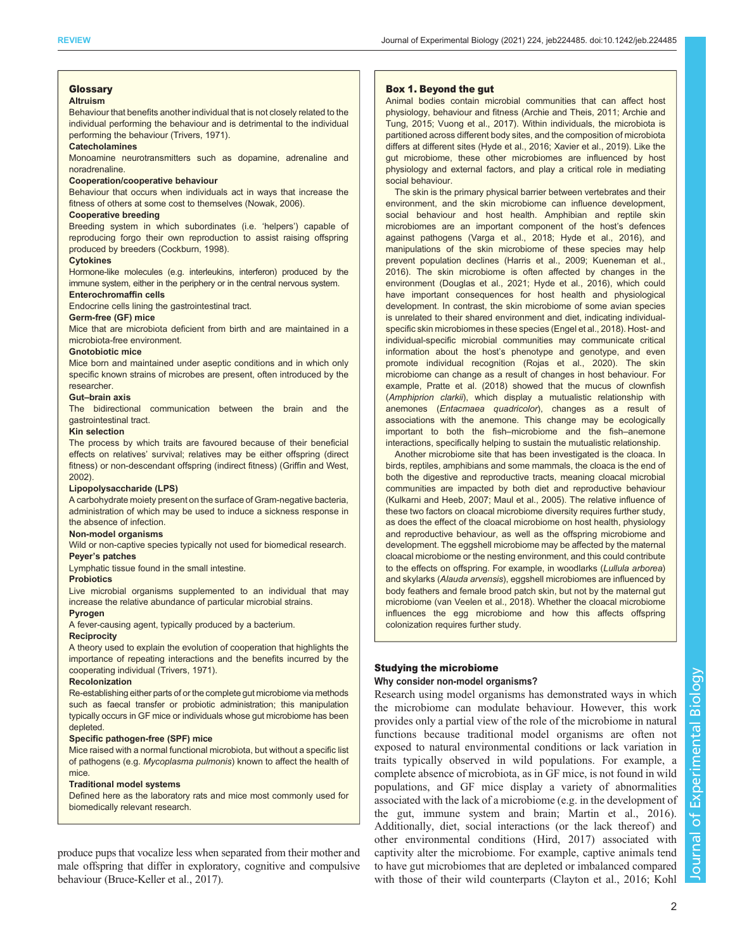# <span id="page-1-0"></span>Glossary

### Altruism

Behaviour that benefits another individual that is not closely related to the individual performing the behaviour and is detrimental to the individual performing the behaviour ([Trivers, 1971\)](#page-12-0).

### **Catecholamines**

Monoamine neurotransmitters such as dopamine, adrenaline and noradrenaline.

### Cooperation/cooperative behaviour

Behaviour that occurs when individuals act in ways that increase the fitness of others at some cost to themselves ([Nowak, 2006\)](#page-11-0).

### Cooperative breeding

Breeding system in which subordinates (i.e. 'helpers') capable of reproducing forgo their own reproduction to assist raising offspring produced by breeders [\(Cockburn, 1998\)](#page-9-0).

# **Cytokines**

Hormone-like molecules (e.g. interleukins, interferon) produced by the immune system, either in the periphery or in the central nervous system.

# Enterochromaffin cells

Endocrine cells lining the gastrointestinal tract.

# Germ-free (GF) mice

Mice that are microbiota deficient from birth and are maintained in a microbiota-free environment.

### Gnotobiotic mice

Mice born and maintained under aseptic conditions and in which only specific known strains of microbes are present, often introduced by the researcher.

### Gut–brain axis

The bidirectional communication between the brain and the gastrointestinal tract.

# Kin selection

The process by which traits are favoured because of their beneficial effects on relatives' survival; relatives may be either offspring (direct fitness) or non-descendant offspring (indirect fitness) ([Griffin and West,](#page-10-0) [2002](#page-10-0)).

### Lipopolysaccharide (LPS)

A carbohydrate moiety present on the surface of Gram-negative bacteria, administration of which may be used to induce a sickness response in the absence of infection.

### Non-model organisms

Wild or non-captive species typically not used for biomedical research. Peyer's patches

Lymphatic tissue found in the small intestine.

# **Probiotics**

Live microbial organisms supplemented to an individual that may increase the relative abundance of particular microbial strains.

#### Pyrogen

A fever-causing agent, typically produced by a bacterium.

### **Reciprocity**

A theory used to explain the evolution of cooperation that highlights the importance of repeating interactions and the benefits incurred by the cooperating individual ([Trivers, 1971\)](#page-12-0).

### Recolonization

Re-establishing either parts of or the complete gut microbiome via methods such as faecal transfer or probiotic administration; this manipulation typically occurs in GF mice or individuals whose gut microbiome has been depleted.

# Specific pathogen-free (SPF) mice

Mice raised with a normal functional microbiota, but without a specific list of pathogens (e.g. Mycoplasma pulmonis) known to affect the health of mice.

# Traditional model systems

Defined here as the laboratory rats and mice most commonly used for biomedically relevant research.

produce pups that vocalize less when separated from their mother and male offspring that differ in exploratory, cognitive and compulsive behaviour [\(Bruce-Keller et al., 2017](#page-9-0)).

### Box 1. Beyond the gut

Animal bodies contain microbial communities that can affect host physiology, behaviour and fitness ([Archie and Theis, 2011](#page-8-0); [Archie and](#page-8-0) [Tung, 2015;](#page-8-0) [Vuong et al., 2017](#page-12-0)). Within individuals, the microbiota is partitioned across different body sites, and the composition of microbiota differs at different sites ([Hyde et al., 2016;](#page-10-0) [Xavier et al., 2019\)](#page-12-0). Like the gut microbiome, these other microbiomes are influenced by host physiology and external factors, and play a critical role in mediating social behaviour.

The skin is the primary physical barrier between vertebrates and their environment, and the skin microbiome can influence development, social behaviour and host health. Amphibian and reptile skin microbiomes are an important component of the host's defences against pathogens ([Varga et al., 2018](#page-12-0); [Hyde et al., 2016\)](#page-10-0), and manipulations of the skin microbiome of these species may help prevent population declines ([Harris et al., 2009;](#page-10-0) [Kueneman et al.,](#page-11-0) [2016](#page-11-0)). The skin microbiome is often affected by changes in the environment ([Douglas et al., 2021](#page-10-0); [Hyde et al., 2016\)](#page-10-0), which could have important consequences for host health and physiological development. In contrast, the skin microbiome of some avian species is unrelated to their shared environment and diet, indicating individualspecific skin microbiomes in these species ([Engel et al., 2018](#page-10-0)). Host- and individual-specific microbial communities may communicate critical information about the host's phenotype and genotype, and even promote individual recognition ([Rojas et al., 2020](#page-11-0)). The skin microbiome can change as a result of changes in host behaviour. For example, [Pratte et al. \(2018\)](#page-11-0) showed that the mucus of clownfish (Amphiprion clarkii), which display a mutualistic relationship with anemones (Entacmaea quadricolor), changes as a result of associations with the anemone. This change may be ecologically important to both the fish–microbiome and the fish–anemone interactions, specifically helping to sustain the mutualistic relationship.

Another microbiome site that has been investigated is the cloaca. In birds, reptiles, amphibians and some mammals, the cloaca is the end of both the digestive and reproductive tracts, meaning cloacal microbial communities are impacted by both diet and reproductive behaviour ([Kulkarni and Heeb, 2007](#page-11-0); [Maul et al., 2005\)](#page-11-0). The relative influence of these two factors on cloacal microbiome diversity requires further study, as does the effect of the cloacal microbiome on host health, physiology and reproductive behaviour, as well as the offspring microbiome and development. The eggshell microbiome may be affected by the maternal cloacal microbiome or the nesting environment, and this could contribute to the effects on offspring. For example, in woodlarks (Lullula arborea) and skylarks (Alauda arvensis), eggshell microbiomes are influenced by body feathers and female brood patch skin, but not by the maternal gut microbiome [\(van Veelen et al., 2018](#page-12-0)). Whether the cloacal microbiome influences the egg microbiome and how this affects offspring colonization requires further study.

# Studying the microbiome

# Why consider non-model organisms?

Research using model organisms has demonstrated ways in which the microbiome can modulate behaviour. However, this work provides only a partial view of the role of the microbiome in natural functions because traditional model organisms are often not exposed to natural environmental conditions or lack variation in traits typically observed in wild populations. For example, a complete absence of microbiota, as in GF mice, is not found in wild populations, and GF mice display a variety of abnormalities associated with the lack of a microbiome (e.g. in the development of the gut, immune system and brain; [Martin et al., 2016\)](#page-11-0). Additionally, diet, social interactions (or the lack thereof) and other environmental conditions [\(Hird, 2017\)](#page-10-0) associated with captivity alter the microbiome. For example, captive animals tend to have gut microbiomes that are depleted or imbalanced compared with those of their wild counterparts [\(Clayton et al., 2016;](#page-9-0) [Kohl](#page-10-0)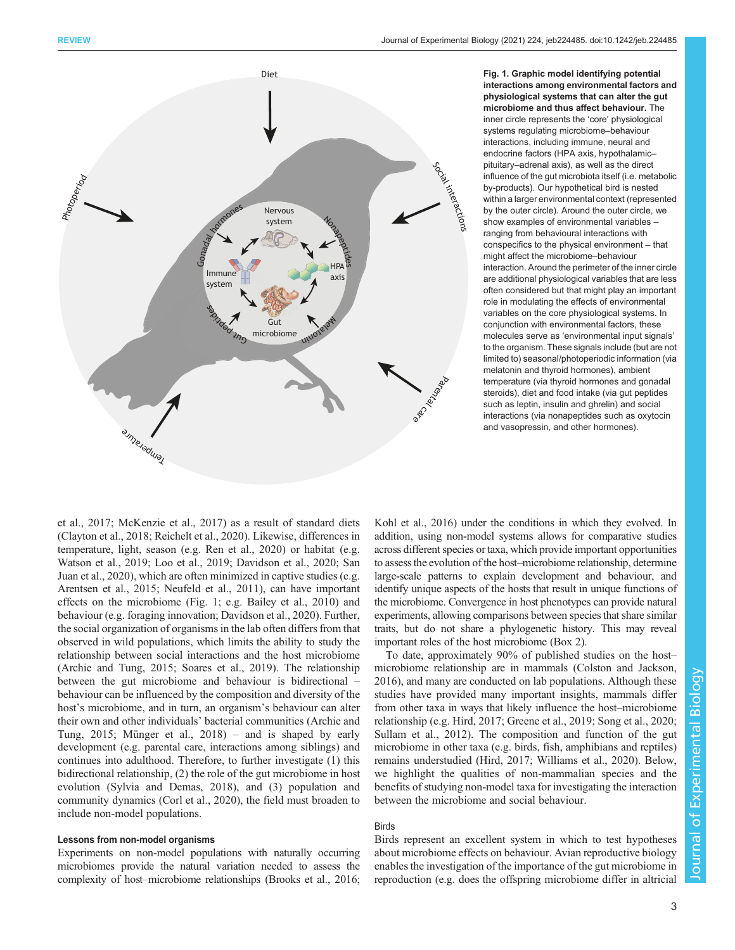<span id="page-2-0"></span>

Fig. 1. Graphic model identifying potential interactions among environmental factors and physiological systems that can alter the gut microbiome and thus affect behaviour. The inner circle represents the 'core' physiological systems regulating microbiome–behaviour interactions, including immune, neural and endocrine factors (HPA axis, hypothalamic– pituitary–adrenal axis), as well as the direct influence of the gut microbiota itself (i.e. metabolic by-products). Our hypothetical bird is nested within a larger environmental context (represented by the outer circle). Around the outer circle, we show examples of environmental variables – ranging from behavioural interactions with conspecifics to the physical environment – that might affect the microbiome–behaviour interaction. Around the perimeter of the inner circle are additional physiological variables that are less often considered but that might play an important role in modulating the effects of environmental variables on the core physiological systems. In conjunction with environmental factors, these molecules serve as 'environmental input signals' to the organism. These signals include (but are not limited to) seasonal/photoperiodic information (via melatonin and thyroid hormones), ambient temperature (via thyroid hormones and gonadal steroids), diet and food intake (via gut peptides such as leptin, insulin and ghrelin) and social interactions (via nonapeptides such as oxytocin and vasopressin, and other hormones).

[et al., 2017](#page-10-0); [McKenzie et al., 2017\)](#page-11-0) as a result of standard diets [\(Clayton et al., 2018](#page-9-0); [Reichelt et al., 2020](#page-11-0)). Likewise, differences in temperature, light, season (e.g. [Ren et al., 2020](#page-11-0)) or habitat (e.g. [Watson et al., 2019](#page-12-0); [Loo et al., 2019](#page-11-0); [Davidson et al., 2020](#page-9-0); [San](#page-11-0) [Juan et al., 2020](#page-11-0)), which are often minimized in captive studies (e.g. [Arentsen et al., 2015;](#page-8-0) [Neufeld et al., 2011\)](#page-11-0), can have important effects on the microbiome (Fig. 1; e.g. [Bailey et al., 2010](#page-8-0)) and behaviour (e.g. foraging innovation; [Davidson et al., 2020\)](#page-9-0). Further, the social organization of organisms in the lab often differs from that observed in wild populations, which limits the ability to study the relationship between social interactions and the host microbiome [\(Archie and Tung, 2015;](#page-8-0) [Soares et al., 2019](#page-12-0)). The relationship between the gut microbiome and behaviour is bidirectional – behaviour can be influenced by the composition and diversity of the host's microbiome, and in turn, an organism's behaviour can alter their own and other individuals' bacterial communities ([Archie and](#page-8-0) [Tung, 2015;](#page-8-0) [Münger et al., 2018\)](#page-11-0) – and is shaped by early development (e.g. parental care, interactions among siblings) and continues into adulthood. Therefore, to further investigate (1) this bidirectional relationship, (2) the role of the gut microbiome in host evolution [\(Sylvia and Demas, 2018\)](#page-12-0), and (3) population and community dynamics [\(Corl et al., 2020](#page-9-0)), the field must broaden to include non-model populations.

# Lessons from non-model organisms

Experiments on non-model populations with naturally occurring microbiomes provide the natural variation needed to assess the complexity of host–microbiome relationships ([Brooks et al., 2016](#page-9-0);

[Kohl et al., 2016\)](#page-10-0) under the conditions in which they evolved. In addition, using non-model systems allows for comparative studies across different species or taxa, which provide important opportunities to assess the evolution of the host–microbiome relationship, determine large-scale patterns to explain development and behaviour, and identify unique aspects of the hosts that result in unique functions of the microbiome. Convergence in host phenotypes can provide natural experiments, allowing comparisons between species that share similar traits, but do not share a phylogenetic history. This may reveal important roles of the host microbiome [\(Box 2](#page-3-0)).

To date, approximately 90% of published studies on the host– microbiome relationship are in mammals ([Colston and Jackson,](#page-9-0) [2016\)](#page-9-0), and many are conducted on lab populations. Although these studies have provided many important insights, mammals differ from other taxa in ways that likely influence the host–microbiome relationship (e.g. [Hird, 2017; Greene et al., 2019](#page-10-0); [Song et al., 2020](#page-12-0); [Sullam et al., 2012](#page-12-0)). The composition and function of the gut microbiome in other taxa (e.g. birds, fish, amphibians and reptiles) remains understudied ([Hird, 2017;](#page-10-0) [Williams et al., 2020\)](#page-12-0). Below, we highlight the qualities of non-mammalian species and the benefits of studying non-model taxa for investigating the interaction between the microbiome and social behaviour.

# **Birds**

Birds represent an excellent system in which to test hypotheses about microbiome effects on behaviour. Avian reproductive biology enables the investigation of the importance of the gut microbiome in reproduction (e.g. does the offspring microbiome differ in altricial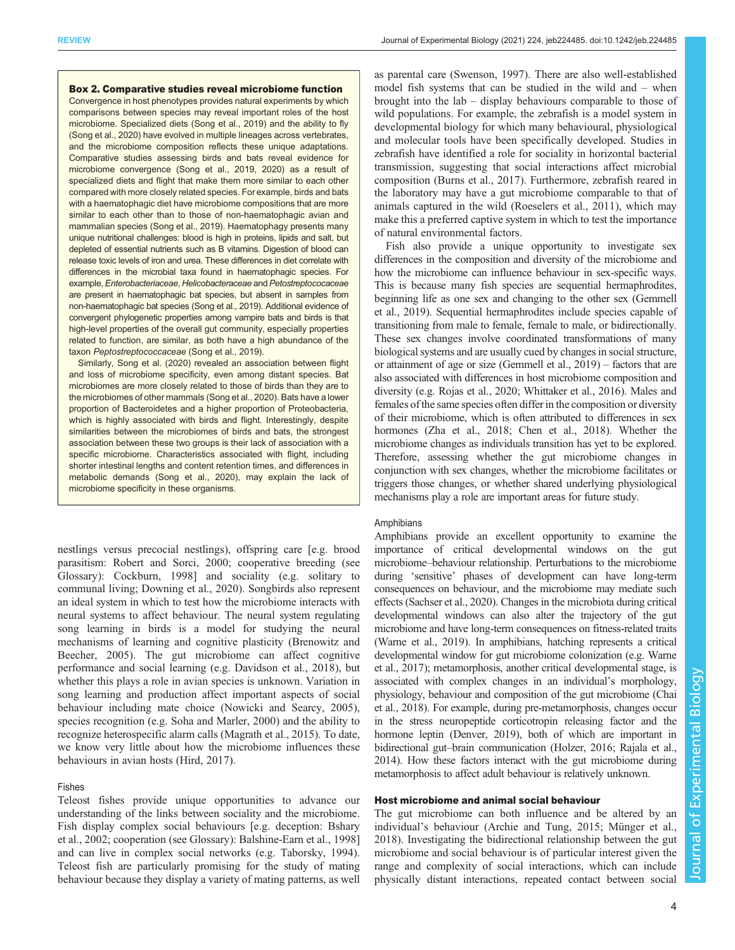### <span id="page-3-0"></span>Box 2. Comparative studies reveal microbiome function

Convergence in host phenotypes provides natural experiments by which comparisons between species may reveal important roles of the host microbiome. Specialized diets ([Song et al., 2019\)](#page-12-0) and the ability to fly ([Song et al., 2020](#page-12-0)) have evolved in multiple lineages across vertebrates, and the microbiome composition reflects these unique adaptations. Comparative studies assessing birds and bats reveal evidence for microbiome convergence [\(Song et al., 2019, 2020\)](#page-12-0) as a result of specialized diets and flight that make them more similar to each other compared with more closely related species. For example, birds and bats with a haematophagic diet have microbiome compositions that are more similar to each other than to those of non-haematophagic avian and mammalian species ([Song et al., 2019](#page-12-0)). Haematophagy presents many unique nutritional challenges: blood is high in proteins, lipids and salt, but depleted of essential nutrients such as B vitamins. Digestion of blood can release toxic levels of iron and urea. These differences in diet correlate with differences in the microbial taxa found in haematophagic species. For example, Enterobacteriaceae, Helicobacteraceae and Petostreptococaceae are present in haematophagic bat species, but absent in samples from non-haematophagic bat species [\(Song et al., 2019](#page-12-0)). Additional evidence of convergent phylogenetic properties among vampire bats and birds is that high-level properties of the overall gut community, especially properties related to function, are similar, as both have a high abundance of the taxon Peptostreptococcaceae ([Song et al., 2019\)](#page-12-0).

Similarly, [Song et al. \(2020\)](#page-12-0) revealed an association between flight and loss of microbiome specificity, even among distant species. Bat microbiomes are more closely related to those of birds than they are to the microbiomes of other mammals [\(Song et al., 2020](#page-12-0)). Bats have a lower proportion of Bacteroidetes and a higher proportion of Proteobacteria, which is highly associated with birds and flight. Interestingly, despite similarities between the microbiomes of birds and bats, the strongest association between these two groups is their lack of association with a specific microbiome. Characteristics associated with flight, including shorter intestinal lengths and content retention times, and differences in metabolic demands ([Song et al., 2020\)](#page-12-0), may explain the lack of microbiome specificity in these organisms.

nestlings versus precocial nestlings), offspring care [e.g. brood parasitism: [Robert and Sorci, 2000](#page-11-0); cooperative breeding (see Glossary): [Cockburn, 1998\]](#page-9-0) and sociality (e.g. solitary to communal living; [Downing et al., 2020\)](#page-10-0). Songbirds also represent an ideal system in which to test how the microbiome interacts with neural systems to affect behaviour. The neural system regulating song learning in birds is a model for studying the neural mechanisms of learning and cognitive plasticity [\(Brenowitz and](#page-9-0) [Beecher, 2005\)](#page-9-0). The gut microbiome can affect cognitive performance and social learning (e.g. [Davidson et al., 2018](#page-9-0)), but whether this plays a role in avian species is unknown. Variation in song learning and production affect important aspects of social behaviour including mate choice ([Nowicki and Searcy, 2005\)](#page-11-0), species recognition (e.g. [Soha and Marler, 2000\)](#page-12-0) and the ability to recognize heterospecific alarm calls ([Magrath et al., 2015](#page-11-0)). To date, we know very little about how the microbiome influences these behaviours in avian hosts ([Hird, 2017](#page-10-0)).

# Fishes

Teleost fishes provide unique opportunities to advance our understanding of the links between sociality and the microbiome. Fish display complex social behaviours [e.g. deception: [Bshary](#page-9-0) [et al., 2002;](#page-9-0) cooperation (see Glossary): [Balshine-Earn et al., 1998\]](#page-8-0) and can live in complex social networks (e.g. [Taborsky, 1994\)](#page-12-0). Teleost fish are particularly promising for the study of mating behaviour because they display a variety of mating patterns, as well as parental care [\(Swenson, 1997\)](#page-12-0). There are also well-established model fish systems that can be studied in the wild and – when brought into the lab – display behaviours comparable to those of wild populations. For example, the zebrafish is a model system in developmental biology for which many behavioural, physiological and molecular tools have been specifically developed. Studies in zebrafish have identified a role for sociality in horizontal bacterial transmission, suggesting that social interactions affect microbial composition ([Burns et al., 2017](#page-9-0)). Furthermore, zebrafish reared in the laboratory may have a gut microbiome comparable to that of animals captured in the wild ([Roeselers et al., 2011\)](#page-11-0), which may make this a preferred captive system in which to test the importance of natural environmental factors.

Fish also provide a unique opportunity to investigate sex differences in the composition and diversity of the microbiome and how the microbiome can influence behaviour in sex-specific ways. This is because many fish species are sequential hermaphrodites, beginning life as one sex and changing to the other sex ([Gemmell](#page-10-0) [et al., 2019\)](#page-10-0). Sequential hermaphrodites include species capable of transitioning from male to female, female to male, or bidirectionally. These sex changes involve coordinated transformations of many biological systems and are usually cued by changes in social structure, or attainment of age or size ([Gemmell et al., 2019](#page-10-0)) – factors that are also associated with differences in host microbiome composition and diversity (e.g. [Rojas et al., 2020](#page-11-0); [Whittaker et al., 2016](#page-12-0)). Males and females of the same species often differ in the composition or diversity of their microbiome, which is often attributed to differences in sex hormones ([Zha et al., 2018](#page-12-0); [Chen et al., 2018\)](#page-9-0). Whether the microbiome changes as individuals transition has yet to be explored. Therefore, assessing whether the gut microbiome changes in conjunction with sex changes, whether the microbiome facilitates or triggers those changes, or whether shared underlying physiological mechanisms play a role are important areas for future study.

### Amphibians

Amphibians provide an excellent opportunity to examine the importance of critical developmental windows on the gut microbiome–behaviour relationship. Perturbations to the microbiome during 'sensitive' phases of development can have long-term consequences on behaviour, and the microbiome may mediate such effects ([Sachser et al., 2020](#page-11-0)). Changes in the microbiota during critical developmental windows can also alter the trajectory of the gut microbiome and have long-term consequences on fitness-related traits [\(Warne et al., 2019\)](#page-12-0). In amphibians, hatching represents a critical developmental window for gut microbiome colonization (e.g. [Warne](#page-12-0) [et al., 2017](#page-12-0)); metamorphosis, another critical developmental stage, is associated with complex changes in an individual's morphology, physiology, behaviour and composition of the gut microbiome ([Chai](#page-9-0) [et al., 2018\)](#page-9-0). For example, during pre-metamorphosis, changes occur in the stress neuropeptide corticotropin releasing factor and the hormone leptin ([Denver, 2019\)](#page-9-0), both of which are important in bidirectional gut–brain communication ([Holzer, 2016](#page-10-0); [Rajala et al.,](#page-11-0) [2014](#page-11-0)). How these factors interact with the gut microbiome during metamorphosis to affect adult behaviour is relatively unknown.

# Host microbiome and animal social behaviour

The gut microbiome can both influence and be altered by an individual's behaviour ([Archie and Tung, 2015](#page-8-0); [Münger et al.,](#page-11-0) [2018\)](#page-11-0). Investigating the bidirectional relationship between the gut microbiome and social behaviour is of particular interest given the range and complexity of social interactions, which can include physically distant interactions, repeated contact between social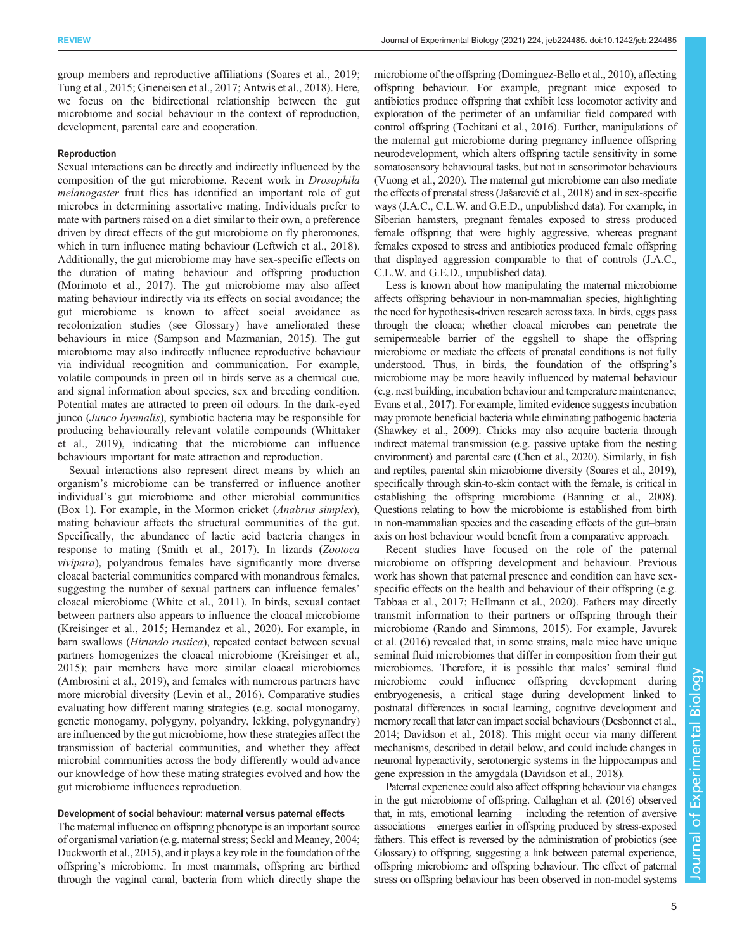group members and reproductive affiliations [\(Soares et al., 2019](#page-12-0); [Tung et al., 2015](#page-12-0); [Grieneisen et al., 2017](#page-10-0); [Antwis et al., 2018](#page-8-0)). Here, we focus on the bidirectional relationship between the gut microbiome and social behaviour in the context of reproduction, development, parental care and cooperation.

### Reproduction

Sexual interactions can be directly and indirectly influenced by the composition of the gut microbiome. Recent work in Drosophila melanogaster fruit flies has identified an important role of gut microbes in determining assortative mating. Individuals prefer to mate with partners raised on a diet similar to their own, a preference driven by direct effects of the gut microbiome on fly pheromones, which in turn influence mating behaviour ([Leftwich et al., 2018\)](#page-11-0). Additionally, the gut microbiome may have sex-specific effects on the duration of mating behaviour and offspring production [\(Morimoto et al., 2017](#page-11-0)). The gut microbiome may also affect mating behaviour indirectly via its effects on social avoidance; the gut microbiome is known to affect social avoidance as recolonization studies (see Glossary) have ameliorated these behaviours in mice [\(Sampson and Mazmanian, 2015\)](#page-11-0). The gut microbiome may also indirectly influence reproductive behaviour via individual recognition and communication. For example, volatile compounds in preen oil in birds serve as a chemical cue, and signal information about species, sex and breeding condition. Potential mates are attracted to preen oil odours. In the dark-eyed junco (Junco hyemalis), symbiotic bacteria may be responsible for producing behaviourally relevant volatile compounds ([Whittaker](#page-12-0) [et al., 2019\)](#page-12-0), indicating that the microbiome can influence behaviours important for mate attraction and reproduction.

Sexual interactions also represent direct means by which an organism's microbiome can be transferred or influence another individual's gut microbiome and other microbial communities [\(Box 1\)](#page-1-0). For example, in the Mormon cricket (Anabrus simplex), mating behaviour affects the structural communities of the gut. Specifically, the abundance of lactic acid bacteria changes in response to mating [\(Smith et al., 2017\)](#page-12-0). In lizards (Zootoca vivipara), polyandrous females have significantly more diverse cloacal bacterial communities compared with monandrous females, suggesting the number of sexual partners can influence females' cloacal microbiome ([White et al., 2011\)](#page-12-0). In birds, sexual contact between partners also appears to influence the cloacal microbiome [\(Kreisinger et al., 2015](#page-10-0); [Hernandez et al., 2020\)](#page-10-0). For example, in barn swallows (Hirundo rustica), repeated contact between sexual partners homogenizes the cloacal microbiome [\(Kreisinger et al.,](#page-10-0) [2015](#page-10-0)); pair members have more similar cloacal microbiomes [\(Ambrosini et al., 2019\)](#page-8-0), and females with numerous partners have more microbial diversity [\(Levin et al., 2016\)](#page-11-0). Comparative studies evaluating how different mating strategies (e.g. social monogamy, genetic monogamy, polygyny, polyandry, lekking, polygynandry) are influenced by the gut microbiome, how these strategies affect the transmission of bacterial communities, and whether they affect microbial communities across the body differently would advance our knowledge of how these mating strategies evolved and how the gut microbiome influences reproduction.

### Development of social behaviour: maternal versus paternal effects

The maternal influence on offspring phenotype is an important source of organismal variation (e.g. maternal stress; [Seckl and Meaney, 2004](#page-12-0); [Duckworth et al., 2015\)](#page-10-0), and it plays a key role in the foundation of the offspring's microbiome. In most mammals, offspring are birthed through the vaginal canal, bacteria from which directly shape the microbiome of the offspring [\(Dominguez-Bello et al., 2010](#page-10-0)), affecting offspring behaviour. For example, pregnant mice exposed to antibiotics produce offspring that exhibit less locomotor activity and exploration of the perimeter of an unfamiliar field compared with control offspring [\(Tochitani et al., 2016\)](#page-12-0). Further, manipulations of the maternal gut microbiome during pregnancy influence offspring neurodevelopment, which alters offspring tactile sensitivity in some somatosensory behavioural tasks, but not in sensorimotor behaviours [\(Vuong et al., 2020\)](#page-12-0). The maternal gut microbiome can also mediate the effects of prenatal stress (Jašarević[et al., 2018](#page-10-0)) and in sex-specific ways (J.A.C., C.L.W. and G.E.D., unpublished data). For example, in Siberian hamsters, pregnant females exposed to stress produced female offspring that were highly aggressive, whereas pregnant females exposed to stress and antibiotics produced female offspring that displayed aggression comparable to that of controls (J.A.C., C.L.W. and G.E.D., unpublished data).

Less is known about how manipulating the maternal microbiome affects offspring behaviour in non-mammalian species, highlighting the need for hypothesis-driven research across taxa. In birds, eggs pass through the cloaca; whether cloacal microbes can penetrate the semipermeable barrier of the eggshell to shape the offspring microbiome or mediate the effects of prenatal conditions is not fully understood. Thus, in birds, the foundation of the offspring's microbiome may be more heavily influenced by maternal behaviour (e.g. nest building, incubation behaviour and temperature maintenance; [Evans et al., 2017\)](#page-10-0). For example, limited evidence suggests incubation may promote beneficial bacteria while eliminating pathogenic bacteria [\(Shawkey et al., 2009\)](#page-12-0). Chicks may also acquire bacteria through indirect maternal transmission (e.g. passive uptake from the nesting environment) and parental care [\(Chen et al., 2020\)](#page-9-0). Similarly, in fish and reptiles, parental skin microbiome diversity [\(Soares et al., 2019\)](#page-12-0), specifically through skin-to-skin contact with the female, is critical in establishing the offspring microbiome [\(Banning et al., 2008\)](#page-8-0). Questions relating to how the microbiome is established from birth in non-mammalian species and the cascading effects of the gut–brain axis on host behaviour would benefit from a comparative approach.

Recent studies have focused on the role of the paternal microbiome on offspring development and behaviour. Previous work has shown that paternal presence and condition can have sexspecific effects on the health and behaviour of their offspring (e.g. [Tabbaa et al., 2017;](#page-12-0) [Hellmann et al., 2020\)](#page-10-0). Fathers may directly transmit information to their partners or offspring through their microbiome [\(Rando and Simmons, 2015](#page-11-0)). For example, [Javurek](#page-10-0) [et al. \(2016\)](#page-10-0) revealed that, in some strains, male mice have unique seminal fluid microbiomes that differ in composition from their gut microbiomes. Therefore, it is possible that males' seminal fluid microbiome could influence offspring development during embryogenesis, a critical stage during development linked to postnatal differences in social learning, cognitive development and memory recall that later can impact social behaviours [\(Desbonnet et al.,](#page-9-0) [2014](#page-9-0); [Davidson et al., 2018\)](#page-9-0). This might occur via many different mechanisms, described in detail below, and could include changes in neuronal hyperactivity, serotonergic systems in the hippocampus and gene expression in the amygdala [\(Davidson et al., 2018](#page-9-0)).

Paternal experience could also affect offspring behaviour via changes in the gut microbiome of offspring. [Callaghan et al. \(2016\)](#page-9-0) observed that, in rats, emotional learning – including the retention of aversive associations – emerges earlier in offspring produced by stress-exposed fathers. This effect is reversed by the administration of probiotics (see Glossary) to offspring, suggesting a link between paternal experience, offspring microbiome and offspring behaviour. The effect of paternal stress on offspring behaviour has been observed in non-model systems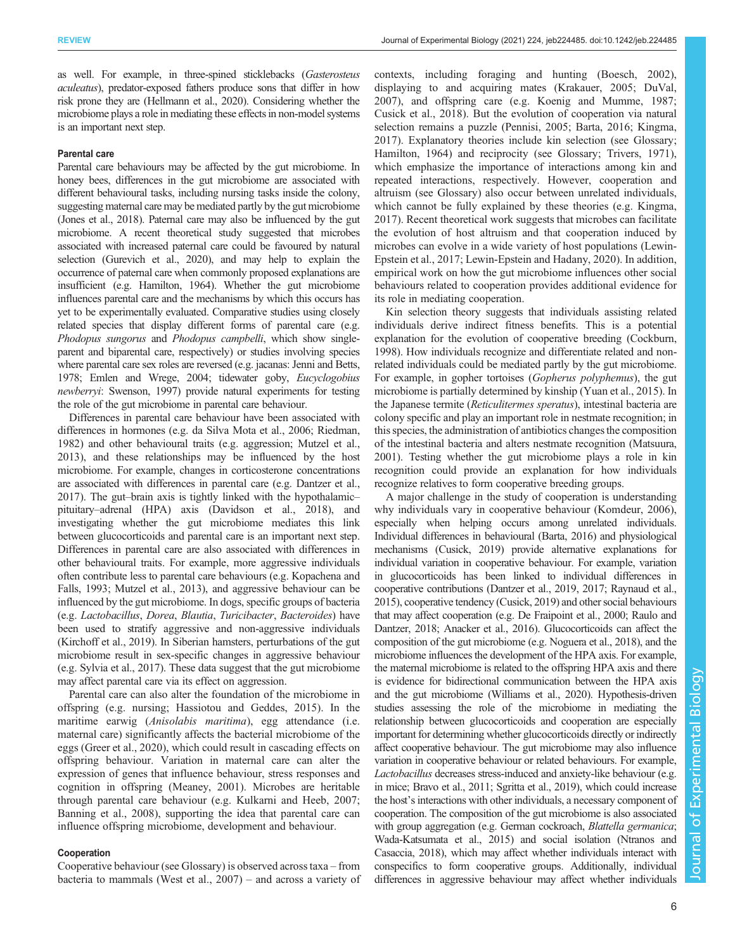as well. For example, in three-spined sticklebacks (Gasterosteus aculeatus), predator-exposed fathers produce sons that differ in how risk prone they are ([Hellmann et al., 2020](#page-10-0)). Considering whether the microbiome plays a role in mediating these effects in non-model systems is an important next step.

#### Parental care

Parental care behaviours may be affected by the gut microbiome. In honey bees, differences in the gut microbiome are associated with different behavioural tasks, including nursing tasks inside the colony, suggesting maternal care may be mediated partly by the gut microbiome [\(Jones et al., 2018\)](#page-10-0). Paternal care may also be influenced by the gut microbiome. A recent theoretical study suggested that microbes associated with increased paternal care could be favoured by natural selection [\(Gurevich et al., 2020](#page-10-0)), and may help to explain the occurrence of paternal care when commonly proposed explanations are insufficient (e.g. [Hamilton, 1964\)](#page-10-0). Whether the gut microbiome influences parental care and the mechanisms by which this occurs has yet to be experimentally evaluated. Comparative studies using closely related species that display different forms of parental care (e.g. Phodopus sungorus and Phodopus campbelli, which show singleparent and biparental care, respectively) or studies involving species where parental care sex roles are reversed (e.g. jacanas: [Jenni and Betts,](#page-10-0) [1978](#page-10-0); [Emlen and Wrege, 2004;](#page-10-0) tidewater goby, Eucyclogobius newberryi: [Swenson, 1997\)](#page-12-0) provide natural experiments for testing the role of the gut microbiome in parental care behaviour.

Differences in parental care behaviour have been associated with differences in hormones (e.g. [da Silva Mota et al., 2006;](#page-9-0) [Riedman,](#page-11-0) [1982\)](#page-11-0) and other behavioural traits (e.g. aggression; [Mutzel et al.,](#page-11-0) [2013\)](#page-11-0), and these relationships may be influenced by the host microbiome. For example, changes in corticosterone concentrations are associated with differences in parental care (e.g. [Dantzer et al.,](#page-9-0) [2017\)](#page-9-0). The gut–brain axis is tightly linked with the hypothalamic– pituitary–adrenal (HPA) axis ([Davidson et al., 2018\)](#page-9-0), and investigating whether the gut microbiome mediates this link between glucocorticoids and parental care is an important next step. Differences in parental care are also associated with differences in other behavioural traits. For example, more aggressive individuals often contribute less to parental care behaviours (e.g. [Kopachena and](#page-10-0) [Falls, 1993;](#page-10-0) [Mutzel et al., 2013](#page-11-0)), and aggressive behaviour can be influenced by the gut microbiome. In dogs, specific groups of bacteria (e.g. Lactobacillus, Dorea, Blautia, Turicibacter, Bacteroides) have been used to stratify aggressive and non-aggressive individuals [\(Kirchoff et al., 2019\)](#page-10-0). In Siberian hamsters, perturbations of the gut microbiome result in sex-specific changes in aggressive behaviour (e.g. [Sylvia et al., 2017](#page-12-0)). These data suggest that the gut microbiome may affect parental care via its effect on aggression.

Parental care can also alter the foundation of the microbiome in offspring (e.g. nursing; [Hassiotou and Geddes, 2015](#page-10-0)). In the maritime earwig (*Anisolabis maritima*), egg attendance (i.e. maternal care) significantly affects the bacterial microbiome of the eggs ([Greer et al., 2020](#page-10-0)), which could result in cascading effects on offspring behaviour. Variation in maternal care can alter the expression of genes that influence behaviour, stress responses and cognition in offspring ([Meaney, 2001](#page-11-0)). Microbes are heritable through parental care behaviour (e.g. [Kulkarni and Heeb, 2007](#page-11-0); [Banning et al., 2008\)](#page-8-0), supporting the idea that parental care can influence offspring microbiome, development and behaviour.

# Cooperation

Cooperative behaviour (see Glossary) is observed across taxa – from bacteria to mammals ([West et al., 2007\)](#page-12-0) – and across a variety of contexts, including foraging and hunting ([Boesch, 2002\)](#page-9-0), displaying to and acquiring mates ([Krakauer, 2005; DuVal,](#page-10-0) [2007\)](#page-10-0), and offspring care (e.g. [Koenig and Mumme, 1987](#page-10-0); [Cusick et al., 2018](#page-9-0)). But the evolution of cooperation via natural selection remains a puzzle [\(Pennisi, 2005;](#page-11-0) [Barta, 2016;](#page-9-0) [Kingma,](#page-10-0) [2017\)](#page-10-0). Explanatory theories include kin selection (see Glossary; [Hamilton, 1964\)](#page-10-0) and reciprocity (see Glossary; [Trivers, 1971\)](#page-12-0), which emphasize the importance of interactions among kin and repeated interactions, respectively. However, cooperation and altruism (see Glossary) also occur between unrelated individuals, which cannot be fully explained by these theories (e.g. [Kingma,](#page-10-0) [2017\)](#page-10-0). Recent theoretical work suggests that microbes can facilitate the evolution of host altruism and that cooperation induced by microbes can evolve in a wide variety of host populations [\(Lewin-](#page-11-0)[Epstein et al., 2017](#page-11-0); [Lewin-Epstein and Hadany, 2020](#page-11-0)). In addition, empirical work on how the gut microbiome influences other social behaviours related to cooperation provides additional evidence for its role in mediating cooperation.

Kin selection theory suggests that individuals assisting related individuals derive indirect fitness benefits. This is a potential explanation for the evolution of cooperative breeding [\(Cockburn,](#page-9-0) [1998\)](#page-9-0). How individuals recognize and differentiate related and nonrelated individuals could be mediated partly by the gut microbiome. For example, in gopher tortoises (Gopherus polyphemus), the gut microbiome is partially determined by kinship [\(Yuan et al., 2015\)](#page-12-0). In the Japanese termite (Reticulitermes speratus), intestinal bacteria are colony specific and play an important role in nestmate recognition; in this species, the administration of antibiotics changes the composition of the intestinal bacteria and alters nestmate recognition [\(Matsuura,](#page-11-0) [2001\)](#page-11-0). Testing whether the gut microbiome plays a role in kin recognition could provide an explanation for how individuals recognize relatives to form cooperative breeding groups.

A major challenge in the study of cooperation is understanding why individuals vary in cooperative behaviour [\(Komdeur, 2006\)](#page-10-0), especially when helping occurs among unrelated individuals. Individual differences in behavioural [\(Barta, 2016](#page-9-0)) and physiological mechanisms ([Cusick, 2019](#page-9-0)) provide alternative explanations for individual variation in cooperative behaviour. For example, variation in glucocorticoids has been linked to individual differences in cooperative contributions [\(Dantzer et al., 2019](#page-9-0), [2017;](#page-9-0) [Raynaud et al.,](#page-11-0) [2015](#page-11-0)), cooperative tendency [\(Cusick, 2019](#page-9-0)) and other social behaviours that may affect cooperation (e.g. [De Fraipoint et al., 2000](#page-9-0); [Raulo and](#page-11-0) [Dantzer, 2018;](#page-11-0) [Anacker et al., 2016](#page-8-0)). Glucocorticoids can affect the composition of the gut microbiome (e.g. [Noguera et al., 2018](#page-11-0)), and the microbiome influences the development of the HPA axis. For example, the maternal microbiome is related to the offspring HPA axis and there is evidence for bidirectional communication between the HPA axis and the gut microbiome [\(Williams et al., 2020](#page-12-0)). Hypothesis-driven studies assessing the role of the microbiome in mediating the relationship between glucocorticoids and cooperation are especially important for determining whether glucocorticoids directly or indirectly affect cooperative behaviour. The gut microbiome may also influence variation in cooperative behaviour or related behaviours. For example, Lactobacillus decreases stress-induced and anxiety-like behaviour (e.g. in mice; [Bravo et al., 2011](#page-9-0); [Sgritta et al., 2019](#page-12-0)), which could increase the host's interactions with other individuals, a necessary component of cooperation. The composition of the gut microbiome is also associated with group aggregation (e.g. German cockroach, Blattella germanica; [Wada-Katsumata et al., 2015](#page-12-0)) and social isolation [\(Ntranos and](#page-11-0) [Casaccia, 2018](#page-11-0)), which may affect whether individuals interact with conspecifics to form cooperative groups. Additionally, individual differences in aggressive behaviour may affect whether individuals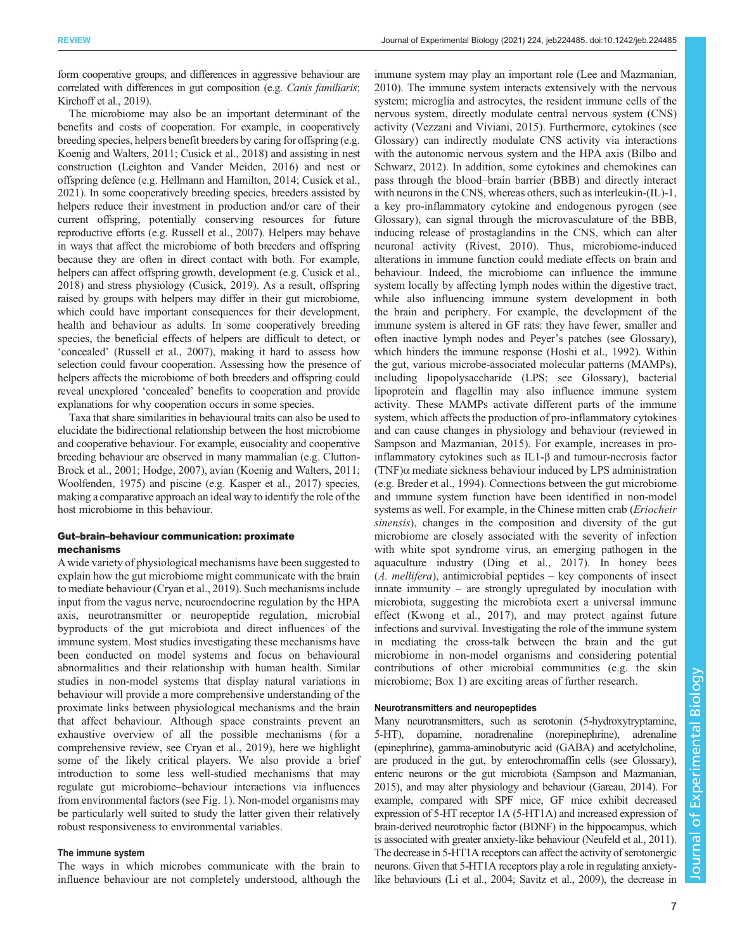form cooperative groups, and differences in aggressive behaviour are correlated with differences in gut composition (e.g. Canis familiaris; [Kirchoff et al., 2019](#page-10-0)).

The microbiome may also be an important determinant of the benefits and costs of cooperation. For example, in cooperatively breeding species, helpers benefit breeders by caring for offspring (e.g. [Koenig and Walters, 2011](#page-10-0); [Cusick et al., 2018](#page-9-0)) and assisting in nest construction [\(Leighton and Vander Meiden, 2016](#page-11-0)) and nest or offspring defence (e.g. [Hellmann and Hamilton, 2014;](#page-10-0) [Cusick et al.,](#page-9-0) [2021\)](#page-9-0). In some cooperatively breeding species, breeders assisted by helpers reduce their investment in production and/or care of their current offspring, potentially conserving resources for future reproductive efforts (e.g. [Russell et al., 2007](#page-11-0)). Helpers may behave in ways that affect the microbiome of both breeders and offspring because they are often in direct contact with both. For example, helpers can affect offspring growth, development (e.g. [Cusick et al.,](#page-9-0) [2018\)](#page-9-0) and stress physiology ([Cusick, 2019\)](#page-9-0). As a result, offspring raised by groups with helpers may differ in their gut microbiome, which could have important consequences for their development, health and behaviour as adults. In some cooperatively breeding species, the beneficial effects of helpers are difficult to detect, or 'concealed' [\(Russell et al., 2007](#page-11-0)), making it hard to assess how selection could favour cooperation. Assessing how the presence of helpers affects the microbiome of both breeders and offspring could reveal unexplored 'concealed' benefits to cooperation and provide explanations for why cooperation occurs in some species.

Taxa that share similarities in behavioural traits can also be used to elucidate the bidirectional relationship between the host microbiome and cooperative behaviour. For example, eusociality and cooperative breeding behaviour are observed in many mammalian (e.g. [Clutton-](#page-9-0)[Brock et al., 2001](#page-9-0); [Hodge, 2007](#page-10-0)), avian [\(Koenig and Walters, 2011](#page-10-0); [Woolfenden, 1975\)](#page-12-0) and piscine (e.g. [Kasper et al., 2017](#page-10-0)) species, making a comparative approach an ideal way to identify the role of the host microbiome in this behaviour.

# Gut–brain–behaviour communication: proximate mechanisms

A wide variety of physiological mechanisms have been suggested to explain how the gut microbiome might communicate with the brain to mediate behaviour ([Cryan et al., 2019](#page-9-0)). Such mechanisms include input from the vagus nerve, neuroendocrine regulation by the HPA axis, neurotransmitter or neuropeptide regulation, microbial byproducts of the gut microbiota and direct influences of the immune system. Most studies investigating these mechanisms have been conducted on model systems and focus on behavioural abnormalities and their relationship with human health. Similar studies in non-model systems that display natural variations in behaviour will provide a more comprehensive understanding of the proximate links between physiological mechanisms and the brain that affect behaviour. Although space constraints prevent an exhaustive overview of all the possible mechanisms (for a comprehensive review, see [Cryan et al., 2019\)](#page-9-0), here we highlight some of the likely critical players. We also provide a brief introduction to some less well-studied mechanisms that may regulate gut microbiome–behaviour interactions via influences from environmental factors (see [Fig. 1\)](#page-2-0). Non-model organisms may be particularly well suited to study the latter given their relatively robust responsiveness to environmental variables.

# The immune system

The ways in which microbes communicate with the brain to influence behaviour are not completely understood, although the immune system may play an important role ([Lee and Mazmanian,](#page-11-0) [2010\)](#page-11-0). The immune system interacts extensively with the nervous system; microglia and astrocytes, the resident immune cells of the nervous system, directly modulate central nervous system (CNS) activity [\(Vezzani and Viviani, 2015](#page-12-0)). Furthermore, cytokines (see Glossary) can indirectly modulate CNS activity via interactions with the autonomic nervous system and the HPA axis [\(Bilbo and](#page-9-0) [Schwarz, 2012\)](#page-9-0). In addition, some cytokines and chemokines can pass through the blood–brain barrier (BBB) and directly interact with neurons in the CNS, whereas others, such as interleukin-(IL)-1, a key pro-inflammatory cytokine and endogenous pyrogen (see Glossary), can signal through the microvasculature of the BBB, inducing release of prostaglandins in the CNS, which can alter neuronal activity [\(Rivest, 2010\)](#page-11-0). Thus, microbiome-induced alterations in immune function could mediate effects on brain and behaviour. Indeed, the microbiome can influence the immune system locally by affecting lymph nodes within the digestive tract, while also influencing immune system development in both the brain and periphery. For example, the development of the immune system is altered in GF rats: they have fewer, smaller and often inactive lymph nodes and Peyer's patches (see Glossary), which hinders the immune response ([Hoshi et al., 1992](#page-10-0)). Within the gut, various microbe-associated molecular patterns (MAMPs), including lipopolysaccharide (LPS; see Glossary), bacterial lipoprotein and flagellin may also influence immune system activity. These MAMPs activate different parts of the immune system, which affects the production of pro-inflammatory cytokines and can cause changes in physiology and behaviour (reviewed in [Sampson and Mazmanian, 2015\)](#page-11-0). For example, increases in proinflammatory cytokines such as IL1-β and tumour-necrosis factor  $(TNF)\alpha$  mediate sickness behaviour induced by LPS administration (e.g. [Breder et al., 1994](#page-9-0)). Connections between the gut microbiome and immune system function have been identified in non-model systems as well. For example, in the Chinese mitten crab (*Eriocheir*) sinensis), changes in the composition and diversity of the gut microbiome are closely associated with the severity of infection with white spot syndrome virus, an emerging pathogen in the aquaculture industry ([Ding et al., 2017](#page-10-0)). In honey bees  $(A. \text{ mellifera})$ , antimicrobial peptides – key components of insect innate immunity – are strongly upregulated by inoculation with microbiota, suggesting the microbiota exert a universal immune effect ([Kwong et al., 2017](#page-11-0)), and may protect against future infections and survival. Investigating the role of the immune system in mediating the cross-talk between the brain and the gut microbiome in non-model organisms and considering potential contributions of other microbial communities (e.g. the skin microbiome; [Box 1\)](#page-1-0) are exciting areas of further research.

### Neurotransmitters and neuropeptides

Many neurotransmitters, such as serotonin (5-hydroxytryptamine, 5-HT), dopamine, noradrenaline (norepinephrine), adrenaline (epinephrine), gamma-aminobutyric acid (GABA) and acetylcholine, are produced in the gut, by enterochromaffin cells (see Glossary), enteric neurons or the gut microbiota [\(Sampson and Mazmanian,](#page-11-0) [2015](#page-11-0)), and may alter physiology and behaviour [\(Gareau, 2014](#page-10-0)). For example, compared with SPF mice, GF mice exhibit decreased expression of 5-HT receptor 1A (5-HT1A) and increased expression of brain-derived neurotrophic factor (BDNF) in the hippocampus, which is associated with greater anxiety-like behaviour [\(Neufeld et al., 2011\)](#page-11-0). The decrease in 5-HT1A receptors can affect the activity of serotonergic neurons. Given that 5-HT1A receptors play a role in regulating anxietylike behaviours ([Li et al., 2004](#page-11-0); [Savitz et al., 2009](#page-12-0)), the decrease in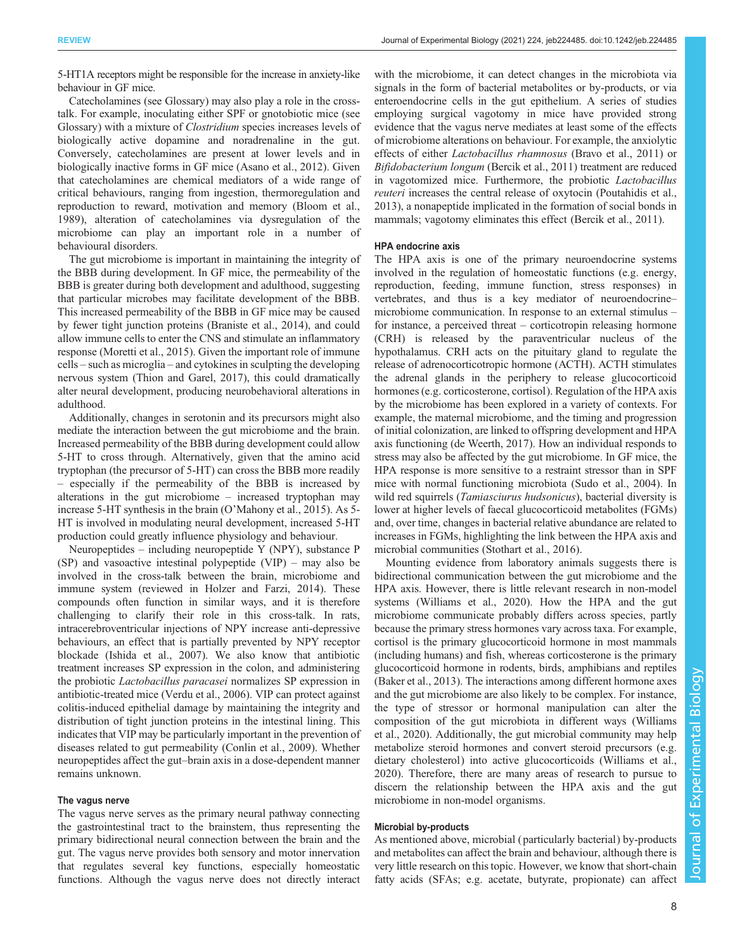5-HT1A receptors might be responsible for the increase in anxiety-like behaviour in GF mice.

Catecholamines (see Glossary) may also play a role in the crosstalk. For example, inoculating either SPF or gnotobiotic mice (see Glossary) with a mixture of Clostridium species increases levels of biologically active dopamine and noradrenaline in the gut. Conversely, catecholamines are present at lower levels and in biologically inactive forms in GF mice [\(Asano et al., 2012](#page-8-0)). Given that catecholamines are chemical mediators of a wide range of critical behaviours, ranging from ingestion, thermoregulation and reproduction to reward, motivation and memory ([Bloom et al.,](#page-9-0) [1989](#page-9-0)), alteration of catecholamines via dysregulation of the microbiome can play an important role in a number of behavioural disorders.

The gut microbiome is important in maintaining the integrity of the BBB during development. In GF mice, the permeability of the BBB is greater during both development and adulthood, suggesting that particular microbes may facilitate development of the BBB. This increased permeability of the BBB in GF mice may be caused by fewer tight junction proteins ([Braniste et al., 2014](#page-9-0)), and could allow immune cells to enter the CNS and stimulate an inflammatory response [\(Moretti et al., 2015\)](#page-11-0). Given the important role of immune cells – such as microglia – and cytokines in sculpting the developing nervous system ([Thion and Garel, 2017\)](#page-12-0), this could dramatically alter neural development, producing neurobehavioral alterations in adulthood.

Additionally, changes in serotonin and its precursors might also mediate the interaction between the gut microbiome and the brain. Increased permeability of the BBB during development could allow 5-HT to cross through. Alternatively, given that the amino acid tryptophan (the precursor of 5-HT) can cross the BBB more readily – especially if the permeability of the BBB is increased by alterations in the gut microbiome – increased tryptophan may increase 5-HT synthesis in the brain (O'[Mahony et al., 2015\)](#page-11-0). As 5- HT is involved in modulating neural development, increased 5-HT production could greatly influence physiology and behaviour.

Neuropeptides – including neuropeptide Y (NPY), substance P (SP) and vasoactive intestinal polypeptide (VIP) – may also be involved in the cross-talk between the brain, microbiome and immune system (reviewed in [Holzer and Farzi, 2014\)](#page-10-0). These compounds often function in similar ways, and it is therefore challenging to clarify their role in this cross-talk. In rats, intracerebroventricular injections of NPY increase anti-depressive behaviours, an effect that is partially prevented by NPY receptor blockade ([Ishida et al., 2007](#page-10-0)). We also know that antibiotic treatment increases SP expression in the colon, and administering the probiotic Lactobacillus paracasei normalizes SP expression in antibiotic-treated mice [\(Verdu et al., 2006\)](#page-12-0). VIP can protect against colitis-induced epithelial damage by maintaining the integrity and distribution of tight junction proteins in the intestinal lining. This indicates that VIP may be particularly important in the prevention of diseases related to gut permeability ([Conlin et al., 2009](#page-9-0)). Whether neuropeptides affect the gut–brain axis in a dose-dependent manner remains unknown.

# The vagus nerve

The vagus nerve serves as the primary neural pathway connecting the gastrointestinal tract to the brainstem, thus representing the primary bidirectional neural connection between the brain and the gut. The vagus nerve provides both sensory and motor innervation that regulates several key functions, especially homeostatic functions. Although the vagus nerve does not directly interact

with the microbiome, it can detect changes in the microbiota via signals in the form of bacterial metabolites or by-products, or via enteroendocrine cells in the gut epithelium. A series of studies employing surgical vagotomy in mice have provided strong evidence that the vagus nerve mediates at least some of the effects of microbiome alterations on behaviour. For example, the anxiolytic effects of either Lactobacillus rhamnosus [\(Bravo et al., 2011\)](#page-9-0) or Bifidobacterium longum [\(Bercik et al., 2011](#page-9-0)) treatment are reduced in vagotomized mice. Furthermore, the probiotic Lactobacillus reuteri increases the central release of oxytocin ([Poutahidis et al.,](#page-11-0) [2013\)](#page-11-0), a nonapeptide implicated in the formation of social bonds in mammals; vagotomy eliminates this effect ([Bercik et al., 2011\)](#page-9-0).

# HPA endocrine axis

The HPA axis is one of the primary neuroendocrine systems involved in the regulation of homeostatic functions (e.g. energy, reproduction, feeding, immune function, stress responses) in vertebrates, and thus is a key mediator of neuroendocrine– microbiome communication. In response to an external stimulus – for instance, a perceived threat – corticotropin releasing hormone (CRH) is released by the paraventricular nucleus of the hypothalamus. CRH acts on the pituitary gland to regulate the release of adrenocorticotropic hormone (ACTH). ACTH stimulates the adrenal glands in the periphery to release glucocorticoid hormones (e.g. corticosterone, cortisol). Regulation of the HPA axis by the microbiome has been explored in a variety of contexts. For example, the maternal microbiome, and the timing and progression of initial colonization, are linked to offspring development and HPA axis functioning ([de Weerth, 2017\)](#page-9-0). How an individual responds to stress may also be affected by the gut microbiome. In GF mice, the HPA response is more sensitive to a restraint stressor than in SPF mice with normal functioning microbiota [\(Sudo et al., 2004\)](#page-12-0). In wild red squirrels (*Tamiasciurus hudsonicus*), bacterial diversity is lower at higher levels of faecal glucocorticoid metabolites (FGMs) and, over time, changes in bacterial relative abundance are related to increases in FGMs, highlighting the link between the HPA axis and microbial communities ([Stothart et al., 2016\)](#page-12-0).

Mounting evidence from laboratory animals suggests there is bidirectional communication between the gut microbiome and the HPA axis. However, there is little relevant research in non-model systems [\(Williams et al., 2020\)](#page-12-0). How the HPA and the gut microbiome communicate probably differs across species, partly because the primary stress hormones vary across taxa. For example, cortisol is the primary glucocorticoid hormone in most mammals (including humans) and fish, whereas corticosterone is the primary glucocorticoid hormone in rodents, birds, amphibians and reptiles [\(Baker et al., 2013](#page-8-0)). The interactions among different hormone axes and the gut microbiome are also likely to be complex. For instance, the type of stressor or hormonal manipulation can alter the composition of the gut microbiota in different ways ([Williams](#page-12-0) [et al., 2020\)](#page-12-0). Additionally, the gut microbial community may help metabolize steroid hormones and convert steroid precursors (e.g. dietary cholesterol) into active glucocorticoids ([Williams et al.,](#page-12-0) [2020\)](#page-12-0). Therefore, there are many areas of research to pursue to discern the relationship between the HPA axis and the gut microbiome in non-model organisms.

### Microbial by-products

As mentioned above, microbial ( particularly bacterial) by-products and metabolites can affect the brain and behaviour, although there is very little research on this topic. However, we know that short-chain fatty acids (SFAs; e.g. acetate, butyrate, propionate) can affect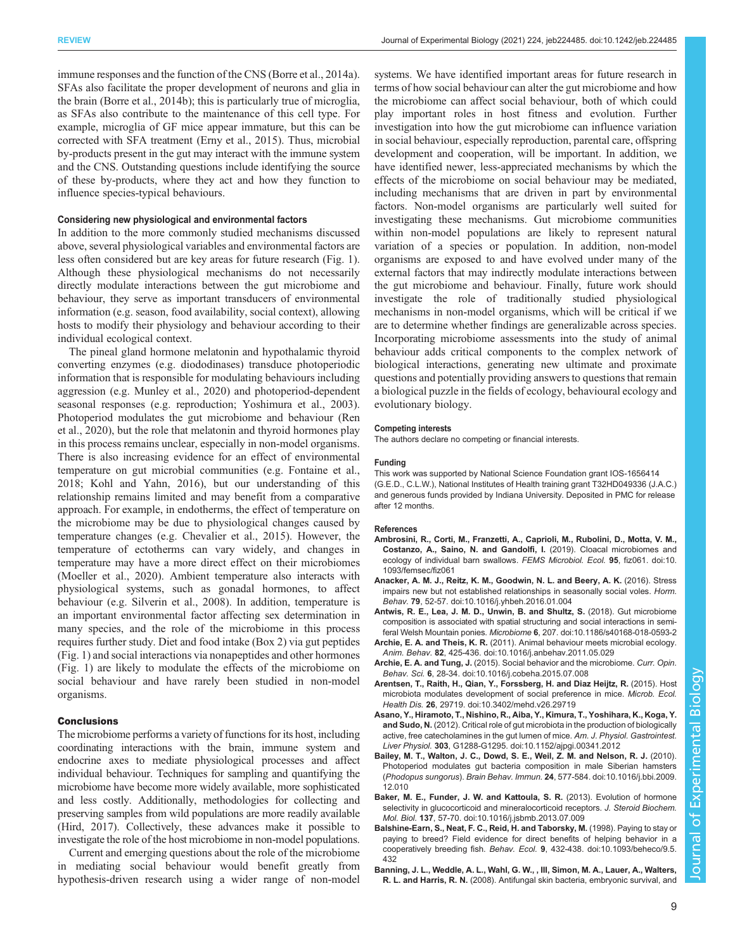<span id="page-8-0"></span>immune responses and the function of the CNS ([Borre et al., 2014a\)](#page-9-0). SFAs also facilitate the proper development of neurons and glia in the brain [\(Borre et al., 2014b\)](#page-9-0); this is particularly true of microglia, as SFAs also contribute to the maintenance of this cell type. For example, microglia of GF mice appear immature, but this can be corrected with SFA treatment [\(Erny et al., 2015](#page-10-0)). Thus, microbial by-products present in the gut may interact with the immune system and the CNS. Outstanding questions include identifying the source of these by-products, where they act and how they function to influence species-typical behaviours.

# Considering new physiological and environmental factors

In addition to the more commonly studied mechanisms discussed above, several physiological variables and environmental factors are less often considered but are key areas for future research [\(Fig. 1\)](#page-2-0). Although these physiological mechanisms do not necessarily directly modulate interactions between the gut microbiome and behaviour, they serve as important transducers of environmental information (e.g. season, food availability, social context), allowing hosts to modify their physiology and behaviour according to their individual ecological context.

The pineal gland hormone melatonin and hypothalamic thyroid converting enzymes (e.g. diododinases) transduce photoperiodic information that is responsible for modulating behaviours including aggression (e.g. [Munley et al., 2020\)](#page-11-0) and photoperiod-dependent seasonal responses (e.g. reproduction; [Yoshimura et al., 2003\)](#page-12-0). Photoperiod modulates the gut microbiome and behaviour ([Ren](#page-11-0) [et al., 2020\)](#page-11-0), but the role that melatonin and thyroid hormones play in this process remains unclear, especially in non-model organisms. There is also increasing evidence for an effect of environmental temperature on gut microbial communities (e.g. [Fontaine et al.,](#page-10-0) [2018](#page-10-0); [Kohl and Yahn, 2016\)](#page-10-0), but our understanding of this relationship remains limited and may benefit from a comparative approach. For example, in endotherms, the effect of temperature on the microbiome may be due to physiological changes caused by temperature changes (e.g. [Chevalier et al., 2015](#page-9-0)). However, the temperature of ectotherms can vary widely, and changes in temperature may have a more direct effect on their microbiomes [\(Moeller et al., 2020](#page-11-0)). Ambient temperature also interacts with physiological systems, such as gonadal hormones, to affect behaviour (e.g. [Silverin et al., 2008\)](#page-12-0). In addition, temperature is an important environmental factor affecting sex determination in many species, and the role of the microbiome in this process requires further study. Diet and food intake [\(Box 2\)](#page-3-0) via gut peptides [\(Fig. 1\)](#page-2-0) and social interactions via nonapeptides and other hormones [\(Fig. 1](#page-2-0)) are likely to modulate the effects of the microbiome on social behaviour and have rarely been studied in non-model organisms.

# **Conclusions**

The microbiome performs a variety of functions for its host, including coordinating interactions with the brain, immune system and endocrine axes to mediate physiological processes and affect individual behaviour. Techniques for sampling and quantifying the microbiome have become more widely available, more sophisticated and less costly. Additionally, methodologies for collecting and preserving samples from wild populations are more readily available [\(Hird, 2017](#page-10-0)). Collectively, these advances make it possible to investigate the role of the host microbiome in non-model populations.

Current and emerging questions about the role of the microbiome in mediating social behaviour would benefit greatly from hypothesis-driven research using a wider range of non-model systems. We have identified important areas for future research in terms of how social behaviour can alter the gut microbiome and how the microbiome can affect social behaviour, both of which could play important roles in host fitness and evolution. Further investigation into how the gut microbiome can influence variation in social behaviour, especially reproduction, parental care, offspring development and cooperation, will be important. In addition, we have identified newer, less-appreciated mechanisms by which the effects of the microbiome on social behaviour may be mediated, including mechanisms that are driven in part by environmental factors. Non-model organisms are particularly well suited for investigating these mechanisms. Gut microbiome communities within non-model populations are likely to represent natural variation of a species or population. In addition, non-model organisms are exposed to and have evolved under many of the external factors that may indirectly modulate interactions between the gut microbiome and behaviour. Finally, future work should investigate the role of traditionally studied physiological mechanisms in non-model organisms, which will be critical if we are to determine whether findings are generalizable across species. Incorporating microbiome assessments into the study of animal behaviour adds critical components to the complex network of biological interactions, generating new ultimate and proximate questions and potentially providing answers to questions that remain a biological puzzle in the fields of ecology, behavioural ecology and evolutionary biology.

### Competing interests

The authors declare no competing or financial interests.

### Funding

This work was supported by National Science Foundation grant IOS-1656414 (G.E.D., C.L.W.), National Institutes of Health training grant T32HD049336 (J.A.C.) and generous funds provided by Indiana University. Deposited in PMC for release after 12 months.

#### References

- [Ambrosini, R., Corti, M., Franzetti, A., Caprioli, M., Rubolini, D., Motta, V. M.,](https://doi.org/10.1093/femsec/fiz061) [Costanzo, A., Saino, N. and Gandolfi, I.](https://doi.org/10.1093/femsec/fiz061) (2019). Cloacal microbiomes and [ecology of individual barn swallows.](https://doi.org/10.1093/femsec/fiz061) FEMS Microbiol. Ecol. 95, fiz061. doi:10. [1093/femsec/fiz061](https://doi.org/10.1093/femsec/fiz061)
- [Anacker, A. M. J., Reitz, K. M., Goodwin, N. L. and Beery, A. K.](https://doi.org/10.1016/j.yhbeh.2016.01.004) (2016). Stress [impairs new but not established relationships in seasonally social voles.](https://doi.org/10.1016/j.yhbeh.2016.01.004) Horm. Behav. 79[, 52-57. doi:10.1016/j.yhbeh.2016.01.004](https://doi.org/10.1016/j.yhbeh.2016.01.004)
- [Antwis, R. E., Lea, J. M. D., Unwin, B. and Shultz, S.](https://doi.org/10.1186/s40168-018-0593-2) (2018). Gut microbiome [composition is associated with spatial structuring and social interactions in semi](https://doi.org/10.1186/s40168-018-0593-2)feral Welsh Mountain ponies. Microbiome 6[, 207. doi:10.1186/s40168-018-0593-2](https://doi.org/10.1186/s40168-018-0593-2)
- Archie, E. A. and Theis, K. R. [\(2011\). Animal behaviour meets microbial ecology.](https://doi.org/10.1016/j.anbehav.2011.05.029) Anim. Behav. 82[, 425-436. doi:10.1016/j.anbehav.2011.05.029](https://doi.org/10.1016/j.anbehav.2011.05.029)
- Archie, E. A. and Tung, J. [\(2015\). Social behavior and the microbiome.](https://doi.org/10.1016/j.cobeha.2015.07.008) Curr. Opin. Behav. Sci. 6[, 28-34. doi:10.1016/j.cobeha.2015.07.008](https://doi.org/10.1016/j.cobeha.2015.07.008)
- [Arentsen, T., Raith, H., Qian, Y., Forssberg, H. and Diaz Heijtz, R.](https://doi.org/10.3402/mehd.v26.29719) (2015). Host [microbiota modulates development of social preference in mice.](https://doi.org/10.3402/mehd.v26.29719) Microb. Ecol. Health Dis. 26[, 29719. doi:10.3402/mehd.v26.29719](https://doi.org/10.3402/mehd.v26.29719)
- [Asano, Y., Hiramoto, T., Nishino, R., Aiba, Y., Kimura, T., Yoshihara, K., Koga, Y.](https://doi.org/10.1152/ajpgi.00341.2012) and Sudo, N. [\(2012\). Critical role of gut microbiota in the production of biologically](https://doi.org/10.1152/ajpgi.00341.2012) [active, free catecholamines in the gut lumen of mice.](https://doi.org/10.1152/ajpgi.00341.2012) Am. J. Physiol. Gastrointest. Liver Physiol. 303[, G1288-G1295. doi:10.1152/ajpgi.00341.2012](https://doi.org/10.1152/ajpgi.00341.2012)
- [Bailey, M. T., Walton, J. C., Dowd, S. E., Weil, Z. M. and Nelson, R. J.](https://doi.org/10.1016/j.bbi.2009.12.010) (2010). [Photoperiod modulates gut bacteria composition in male Siberian hamsters](https://doi.org/10.1016/j.bbi.2009.12.010) (Phodopus sungorus). Brain Behav. Immun. 24[, 577-584. doi:10.1016/j.bbi.2009.](https://doi.org/10.1016/j.bbi.2009.12.010) [12.010](https://doi.org/10.1016/j.bbi.2009.12.010)
- [Baker, M. E., Funder, J. W. and Kattoula, S. R.](https://doi.org/10.1016/j.jsbmb.2013.07.009) (2013). Evolution of hormone [selectivity in glucocorticoid and mineralocorticoid receptors.](https://doi.org/10.1016/j.jsbmb.2013.07.009) J. Steroid Biochem. Mol. Biol. 137[, 57-70. doi:10.1016/j.jsbmb.2013.07.009](https://doi.org/10.1016/j.jsbmb.2013.07.009)
- [Balshine-Earn, S., Neat, F. C., Reid, H. and Taborsky, M.](https://doi.org/10.1093/beheco/9.5.432) (1998). Paying to stay or [paying to breed? Field evidence for direct benefits of helping behavior in a](https://doi.org/10.1093/beheco/9.5.432) cooperatively breeding fish. Behav. Ecol. 9[, 432-438. doi:10.1093/beheco/9.5.](https://doi.org/10.1093/beheco/9.5.432) [432](https://doi.org/10.1093/beheco/9.5.432)
- [Banning, J. L., Weddle, A. L., Wahl, G. W., , III, Simon, M. A., Lauer, A., Walters,](https://doi.org/10.1007/s00442-008-1002-5) R. L. and Harris, R. N. [\(2008\). Antifungal skin bacteria, embryonic survival, and](https://doi.org/10.1007/s00442-008-1002-5)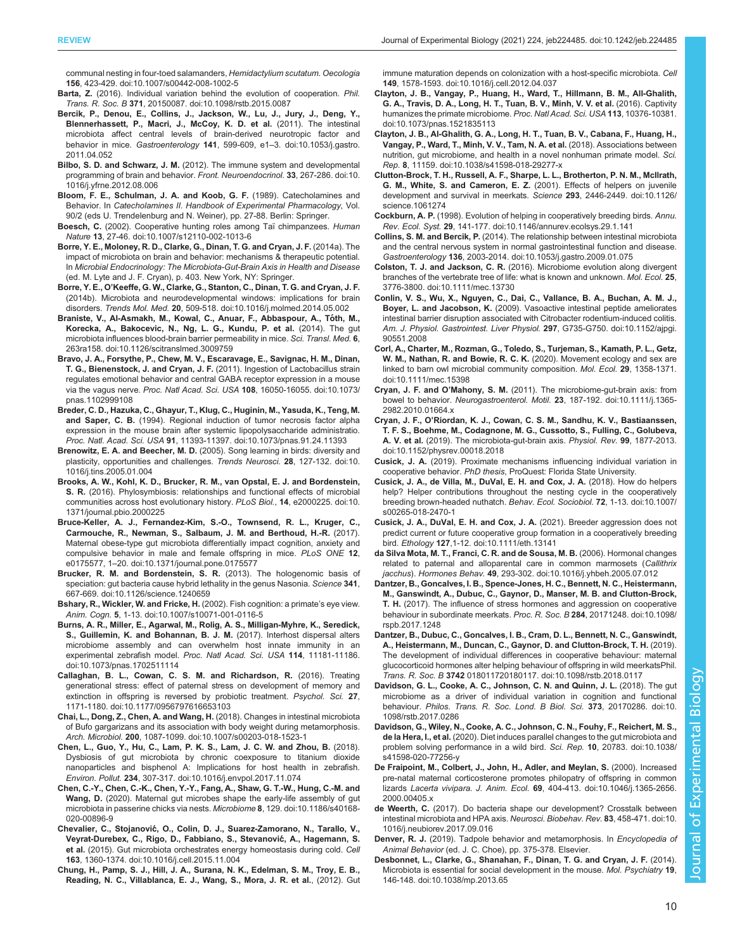<span id="page-9-0"></span>[communal nesting in four-toed salamanders,](https://doi.org/10.1007/s00442-008-1002-5) Hemidactylium scutatum. Oecologia 156[, 423-429. doi:10.1007/s00442-008-1002-5](https://doi.org/10.1007/s00442-008-1002-5)

- Barta, Z. [\(2016\). Individual variation behind the evolution of cooperation.](https://doi.org/10.1098/rstb.2015.0087) Phil. Trans. R. Soc. B 371[, 20150087. doi:10.1098/rstb.2015.0087](https://doi.org/10.1098/rstb.2015.0087)
- [Bercik, P., Denou, E., Collins, J., Jackson, W., Lu, J., Jury, J., Deng, Y.,](https://doi.org/10.1053/j.gastro.2011.04.052) [Blennerhassett, P., Macri, J., McCoy, K. D. et al.](https://doi.org/10.1053/j.gastro.2011.04.052) (2011). The intestinal [microbiota affect central levels of brain-derived neurotropic factor and](https://doi.org/10.1053/j.gastro.2011.04.052) behavior in mice. Gastroenterology 141, 599-609, e1-[3. doi:10.1053/j.gastro.](https://doi.org/10.1053/j.gastro.2011.04.052) [2011.04.052](https://doi.org/10.1053/j.gastro.2011.04.052)
- Bilbo, S. D. and Schwarz, J. M. [\(2012\). The immune system and developmental](https://doi.org/10.1016/j.yfrne.2012.08.006) [programming of brain and behavior.](https://doi.org/10.1016/j.yfrne.2012.08.006) Front. Neuroendocrinol. 33, 267-286. doi:10. [1016/j.yfrne.2012.08.006](https://doi.org/10.1016/j.yfrne.2012.08.006)
- Bloom, F. E., Schulman, J. A. and Koob, G. F. (1989). Catecholamines and Behavior. In Catecholamines II. Handbook of Experimental Pharmacology, Vol. 90/2 (eds U. Trendelenburg and N. Weiner), pp. 27-88. Berlin: Springer.
- Boesch, C. [\(2002\). Cooperative hunting roles among Taï chimpanzees.](https://doi.org/10.1007/s12110-002-1013-6) Human Nature 13[, 27-46. doi:10.1007/s12110-002-1013-6](https://doi.org/10.1007/s12110-002-1013-6)
- Borre, Y. E., Moloney, R. D., Clarke, G., Dinan, T. G. and Cryan, J. F. (2014a). The impact of microbiota on brain and behavior: mechanisms & therapeutic potential. In Microbial Endocrinology: The Microbiota-Gut-Brain Axis in Health and Disease (ed. M. Lyte and J. F. Cryan), p. 403. New York, NY: Springer.
- Borre, Y. E., O'[Keeffe, G. W., Clarke, G., Stanton, C., Dinan, T. G. and Cryan, J. F.](https://doi.org/10.1016/j.molmed.2014.05.002) [\(2014b\). Microbiota and neurodevelopmental windows: implications for brain](https://doi.org/10.1016/j.molmed.2014.05.002) disorders. Trends Mol. Med. 20[, 509-518. doi:10.1016/j.molmed.2014.05.002](https://doi.org/10.1016/j.molmed.2014.05.002)
- [Braniste, V., Al-Asmakh, M., Kowal, C., Anuar, F., Abbaspour, A., To](https://doi.org/10.1126/scitranslmed.3009759)́th, M., [Korecka, A., Bakocevic, N., Ng, L. G., Kundu, P. et al.](https://doi.org/10.1126/scitranslmed.3009759) (2014). The gut [microbiota influences blood-brain barrier permeability in mice.](https://doi.org/10.1126/scitranslmed.3009759) Sci. Transl. Med. 6, [263ra158. doi:10.1126/scitranslmed.3009759](https://doi.org/10.1126/scitranslmed.3009759)
- [Bravo, J. A., Forsythe, P., Chew, M. V., Escaravage, E., Savignac, H. M., Dinan,](https://doi.org/10.1073/pnas.1102999108) [T. G., Bienenstock, J. and Cryan, J. F.](https://doi.org/10.1073/pnas.1102999108) (2011). Ingestion of Lactobacillus strain [regulates emotional behavior and central GABA receptor expression in a mouse](https://doi.org/10.1073/pnas.1102999108) via the vagus nerve. Proc. Natl Acad. Sci. USA 108[, 16050-16055. doi:10.1073/](https://doi.org/10.1073/pnas.1102999108) [pnas.1102999108](https://doi.org/10.1073/pnas.1102999108)
- [Breder, C. D., Hazuka, C., Ghayur, T., Klug, C., Huginin, M., Yasuda, K., Teng, M.](https://doi.org/10.1073/pnas.91.24.11393) and Saper, C. B. [\(1994\). Regional induction of tumor necrosis factor alpha](https://doi.org/10.1073/pnas.91.24.11393) [expression in the mouse brain after systemic lipopolysaccharide administratio.](https://doi.org/10.1073/pnas.91.24.11393) Proc. Natl. Acad. Sci. USA 91[, 11393-11397. doi:10.1073/pnas.91.24.11393](https://doi.org/10.1073/pnas.91.24.11393)
- Brenowitz, E. A. and Beecher, M. D. [\(2005\). Song learning in birds: diversity and](https://doi.org/10.1016/j.tins.2005.01.004) [plasticity, opportunities and challenges.](https://doi.org/10.1016/j.tins.2005.01.004) Trends Neurosci. 28, 127-132. doi:10. [1016/j.tins.2005.01.004](https://doi.org/10.1016/j.tins.2005.01.004)
- [Brooks, A. W., Kohl, K. D., Brucker, R. M., van Opstal, E. J. and Bordenstein,](https://doi.org/10.1371/journal.pbio.2000225) S. R. [\(2016\). Phylosymbiosis: relationships and functional effects of microbial](https://doi.org/10.1371/journal.pbio.2000225) [communities across host evolutionary history.](https://doi.org/10.1371/journal.pbio.2000225) PLoS Biol., 14, e2000225. doi:10. [1371/journal.pbio.2000225](https://doi.org/10.1371/journal.pbio.2000225)
- [Bruce-Keller, A. J., Fernandez-Kim, S.-O., Townsend, R. L., Kruger, C.,](https://doi.org/10.1371/journal.pone.0175577) [Carmouche, R., Newman, S., Salbaum, J. M. and Berthoud, H.-R.](https://doi.org/10.1371/journal.pone.0175577) (2017). [Maternal obese-type gut microbiota differentially impact cognition, anxiety and](https://doi.org/10.1371/journal.pone.0175577) [compulsive behavior in male and female offspring in mice.](https://doi.org/10.1371/journal.pone.0175577) PLoS ONE 12, e0175577, 1–[20. doi:10.1371/journal.pone.0175577](https://doi.org/10.1371/journal.pone.0175577)
- [Brucker, R. M. and Bordenstein, S. R.](https://doi.org/10.1126/science.1240659) (2013). The hologenomic basis of [speciation: gut bacteria cause hybrid lethality in the genus Nasonia.](https://doi.org/10.1126/science.1240659) Science 341, [667-669. doi:10.1126/science.1240659](https://doi.org/10.1126/science.1240659)
- [Bshary, R., Wickler, W. and Fricke, H.](https://doi.org/10.1007/s10071-001-0116-5) (2002). Fish cognition: a primate's eye view. Anim. Cogn. 5[, 1-13. doi:10.1007/s10071-001-0116-5](https://doi.org/10.1007/s10071-001-0116-5)
- [Burns, A. R., Miller, E., Agarwal, M., Rolig, A. S., Milligan-Myhre, K., Seredick,](https://doi.org/10.1073/pnas.1702511114) [S., Guillemin, K. and Bohannan, B. J. M.](https://doi.org/10.1073/pnas.1702511114) (2017). Interhost dispersal alters [microbiome assembly and can overwhelm host innate immunity in an](https://doi.org/10.1073/pnas.1702511114) [experimental zebrafish model.](https://doi.org/10.1073/pnas.1702511114) Proc. Natl Acad. Sci. USA 114, 11181-11186. [doi:10.1073/pnas.1702511114](https://doi.org/10.1073/pnas.1702511114)
- [Callaghan, B. L., Cowan, C. S. M. and Richardson, R.](https://doi.org/10.1177/0956797616653103) (2016). Treating [generational stress: effect of paternal stress on development of memory and](https://doi.org/10.1177/0956797616653103) [extinction in offspring is reversed by probiotic treatment.](https://doi.org/10.1177/0956797616653103) Psychol. Sci. 27, [1171-1180. doi:10.1177/0956797616653103](https://doi.org/10.1177/0956797616653103)
- [Chai, L., Dong, Z., Chen, A. and Wang, H.](https://doi.org/10.1007/s00203-018-1523-1) (2018). Changes in intestinal microbiota [of Bufo gargarizans and its association with body weight during metamorphosis.](https://doi.org/10.1007/s00203-018-1523-1) Arch. Microbiol. 200[, 1087-1099. doi:10.1007/s00203-018-1523-1](https://doi.org/10.1007/s00203-018-1523-1)
- [Chen, L., Guo, Y., Hu, C., Lam, P. K. S., Lam, J. C. W. and Zhou, B.](https://doi.org/10.1016/j.envpol.2017.11.074) (2018). [Dysbiosis of gut microbiota by chronic coexposure to titanium dioxide](https://doi.org/10.1016/j.envpol.2017.11.074) [nanoparticles and bisphenol A: Implications for host health in zebrafish.](https://doi.org/10.1016/j.envpol.2017.11.074) Environ. Pollut. 234[, 307-317. doi:10.1016/j.envpol.2017.11.074](https://doi.org/10.1016/j.envpol.2017.11.074)
- [Chen, C.-Y., Chen, C.-K., Chen, Y.-Y., Fang, A., Shaw, G. T.-W., Hung, C.-M. and](https://doi.org/10.1186/s40168-020-00896-9) Wang, D. [\(2020\). Maternal gut microbes shape the early-life assembly of gut](https://doi.org/10.1186/s40168-020-00896-9) [microbiota in passerine chicks via nests.](https://doi.org/10.1186/s40168-020-00896-9) Microbiome 8, 129. doi:10.1186/s40168- [020-00896-9](https://doi.org/10.1186/s40168-020-00896-9)
- Chevalier, C., Stojanović[, O., Colin, D. J., Suarez-Zamorano, N., Tarallo, V.,](https://doi.org/10.1016/j.cell.2015.11.004) [Veyrat-Durebex, C., Rigo, D., Fabbiano, S., Stevanovic](https://doi.org/10.1016/j.cell.2015.11.004)́, A., Hagemann, S. et al. [\(2015\). Gut microbiota orchestrates energy homeostasis during cold.](https://doi.org/10.1016/j.cell.2015.11.004) Cell 163[, 1360-1374. doi:10.1016/j.cell.2015.11.004](https://doi.org/10.1016/j.cell.2015.11.004)
- [Chung, H., Pamp, S. J., Hill, J. A., Surana, N. K., Edelman, S. M., Troy, E. B.,](https://doi.org/10.1016/j.cell.2012.04.037) [Reading, N. C., Villablanca, E. J., Wang, S., Mora, J. R. et al.](https://doi.org/10.1016/j.cell.2012.04.037), (2012). Gut

[immune maturation depends on colonization with a host-specific microbiota.](https://doi.org/10.1016/j.cell.2012.04.037) Cell 149[, 1578-1593. doi:10.1016/j.cell.2012.04.037](https://doi.org/10.1016/j.cell.2012.04.037)

- [Clayton, J. B., Vangay, P., Huang, H., Ward, T., Hillmann, B. M., All-Ghalith,](https://doi.org/10.1073/pnas.1521835113) [G. A., Travis, D. A., Long, H. T., Tuan, B. V., Minh, V. V. et al.](https://doi.org/10.1073/pnas.1521835113) (2016). Captivity [humanizes the primate microbiome.](https://doi.org/10.1073/pnas.1521835113) Proc. Natl Acad. Sci. USA 113, 10376-10381. [doi:10.1073/pnas.1521835113](https://doi.org/10.1073/pnas.1521835113)
- [Clayton, J. B., Al-Ghalith, G. A., Long, H. T., Tuan, B. V., Cabana, F., Huang, H.,](https://doi.org/10.1038/s41598-018-29277-x) [Vangay, P., Ward, T., Minh, V. V., Tam, N. A. et al.](https://doi.org/10.1038/s41598-018-29277-x) (2018). Associations between [nutrition, gut microbiome, and health in a novel nonhuman primate model.](https://doi.org/10.1038/s41598-018-29277-x) Sci. Rep. 8[, 11159. doi:10.1038/s41598-018-29277-x](https://doi.org/10.1038/s41598-018-29277-x)
- [Clutton-Brock, T. H., Russell, A. F., Sharpe, L. L., Brotherton, P. N. M., McIlrath,](https://doi.org/10.1126/science.1061274) [G. M., White, S. and Cameron, E. Z.](https://doi.org/10.1126/science.1061274) (2001). Effects of helpers on juvenile [development and survival in meerkats.](https://doi.org/10.1126/science.1061274) Science 293, 2446-2449. doi:10.1126/ [science.1061274](https://doi.org/10.1126/science.1061274)
- Cockburn, A. P. [\(1998\). Evolution of helping in cooperatively breeding birds.](https://doi.org/10.1146/annurev.ecolsys.29.1.141) Annu. Rev. Ecol. Syst. 29[, 141-177. doi:10.1146/annurev.ecolsys.29.1.141](https://doi.org/10.1146/annurev.ecolsys.29.1.141)
- Collins, S. M. and Bercik, P. [\(2014\). The relationship between intestinal microbiota](https://doi.org/10.1053/j.gastro.2009.01.075) [and the central nervous system in normal gastrointestinal function and disease.](https://doi.org/10.1053/j.gastro.2009.01.075) Gastroenterology 136[, 2003-2014. doi:10.1053/j.gastro.2009.01.075](https://doi.org/10.1053/j.gastro.2009.01.075)
- Colston, T. J. and Jackson, C. R. [\(2016\). Microbiome evolution along divergent](https://doi.org/10.1111/mec.13730) [branches of the vertebrate tree of life: what is known and unknown.](https://doi.org/10.1111/mec.13730) Mol. Ecol. 25, [3776-3800. doi:10.1111/mec.13730](https://doi.org/10.1111/mec.13730)
- [Conlin, V. S., Wu, X., Nguyen, C., Dai, C., Vallance, B. A., Buchan, A. M. J.,](https://doi.org/10.1152/ajpgi.90551.2008) Boyer, L. and Jacobson, K. [\(2009\). Vasoactive intestinal peptide ameliorates](https://doi.org/10.1152/ajpgi.90551.2008) [intestinal barrier disruption associated with Citrobacter rodentium-induced colitis.](https://doi.org/10.1152/ajpgi.90551.2008) [Am. J. Physiol. Gastrointest. Liver Physiol.](https://doi.org/10.1152/ajpgi.90551.2008) 297, G735-G750. doi:10.1152/ajpgi. [90551.2008](https://doi.org/10.1152/ajpgi.90551.2008)
- [Corl, A., Charter, M., Rozman, G., Toledo, S., Turjeman, S., Kamath, P. L., Getz,](https://doi.org/10.1111/mec.15398) [W. M., Nathan, R. and Bowie, R. C. K.](https://doi.org/10.1111/mec.15398) (2020). Movement ecology and sex are [linked to barn owl microbial community composition.](https://doi.org/10.1111/mec.15398) Mol. Ecol. 29, 1358-1371. [doi:10.1111/mec.15398](https://doi.org/10.1111/mec.15398)
- Cryan, J. F. and O'Mahony, S. M. [\(2011\). The microbiome-gut-brain axis: from](https://doi.org/10.1111/j.1365-2982.2010.01664.x) bowel to behavior. Neurogastroenterol. Motil. 23[, 187-192. doi:10.1111/j.1365-](https://doi.org/10.1111/j.1365-2982.2010.01664.x) [2982.2010.01664.x](https://doi.org/10.1111/j.1365-2982.2010.01664.x)
- Cryan, J. F., O'[Riordan, K. J., Cowan, C. S. M., Sandhu, K. V., Bastiaanssen,](https://doi.org/10.1152/physrev.00018.2018) [T. F. S., Boehme, M., Codagnone, M. G., Cussotto, S., Fulling, C., Golubeva,](https://doi.org/10.1152/physrev.00018.2018) A. V. et al. [\(2019\). The microbiota-gut-brain axis.](https://doi.org/10.1152/physrev.00018.2018) Physiol. Rev. 99, 1877-2013. [doi:10.1152/physrev.00018.2018](https://doi.org/10.1152/physrev.00018.2018)
- Cusick, J. A. (2019). Proximate mechanisms influencing individual variation in cooperative behavior. PhD thesis, ProQuest: Florida State University.
- [Cusick, J. A., de Villa, M., DuVal, E. H. and Cox, J. A.](https://doi.org/10.1007/s00265-018-2470-1) (2018). How do helpers [help? Helper contributions throughout the nesting cycle in the cooperatively](https://doi.org/10.1007/s00265-018-2470-1) [breeding brown-headed nuthatch.](https://doi.org/10.1007/s00265-018-2470-1) Behav. Ecol. Sociobiol. 72, 1-13. doi:10.1007/ [s00265-018-2470-1](https://doi.org/10.1007/s00265-018-2470-1)
- [Cusick, J. A., DuVal, E. H. and Cox, J. A.](https://doi.org/10.1111/eth.13141) (2021). Breeder aggression does not [predict current or future cooperative group formation in a cooperatively breeding](https://doi.org/10.1111/eth.13141) bird. Ethology 127[,1-12. doi:10.1111/eth.13141](https://doi.org/10.1111/eth.13141)
- [da Silva Mota, M. T., Franci, C. R. and de Sousa, M. B.](https://doi.org/10.1016/j.yhbeh.2005.07.012) (2006). Hormonal changes [related to paternal and alloparental care in common marmosets \(](https://doi.org/10.1016/j.yhbeh.2005.07.012)Callithrix jacchus). Hormones Behav. 49[, 293-302. doi:10.1016/j.yhbeh.2005.07.012](https://doi.org/10.1016/j.yhbeh.2005.07.012)
- [Dantzer, B., Goncalves, I. B., Spence-Jones, H. C., Bennett, N. C., Heistermann,](https://doi.org/10.1098/rspb.2017.1248) [M., Ganswindt, A., Dubuc, C., Gaynor, D., Manser, M. B. and Clutton-Brock,](https://doi.org/10.1098/rspb.2017.1248) T. H. [\(2017\). The influence of stress hormones and aggression on cooperative](https://doi.org/10.1098/rspb.2017.1248) [behaviour in subordinate meerkats.](https://doi.org/10.1098/rspb.2017.1248) Proc. R. Soc. B 284, 20171248. doi:10.1098/ [rspb.2017.1248](https://doi.org/10.1098/rspb.2017.1248)
- [Dantzer, B., Dubuc, C., Goncalves, I. B., Cram, D. L., Bennett, N. C., Ganswindt,](https://doi.org/10.1098/rstb.2018.0117) [A., Heistermann, M., Duncan, C., Gaynor, D. and Clutton-Brock, T. H.](https://doi.org/10.1098/rstb.2018.0117) (2019). [The development of individual differences in cooperative behaviour: maternal](https://doi.org/10.1098/rstb.2018.0117) [glucocorticoid hormones alter helping behaviour of offspring in wild meerkatsPhil.](https://doi.org/10.1098/rstb.2018.0117) Trans. R. Soc. B 3742 [018011720180117. doi:10.1098/rstb.2018.0117](https://doi.org/10.1098/rstb.2018.0117)
- [Davidson, G. L., Cooke, A. C., Johnson, C. N. and Quinn, J. L.](https://doi.org/10.1098/rstb.2017.0286) (2018). The gut [microbiome as a driver of individual variation in cognition and functional](https://doi.org/10.1098/rstb.2017.0286) behaviour. [Philos. Trans. R. Soc. Lond. B Biol. Sci.](https://doi.org/10.1098/rstb.2017.0286) 373, 20170286. doi:10. [1098/rstb.2017.0286](https://doi.org/10.1098/rstb.2017.0286)
- [Davidson, G., Wiley, N., Cooke, A. C., Johnson, C. N., Fouhy, F., Reichert, M. S.,](https://doi.org/10.1038/s41598-020-77256-y) de la Hera, I., et al. [\(2020\). Diet induces parallel changes to the gut microbiota and](https://doi.org/10.1038/s41598-020-77256-y) [problem solving performance in a wild bird.](https://doi.org/10.1038/s41598-020-77256-y) Sci. Rep. 10, 20783. doi:10.1038/ [s41598-020-77256-y](https://doi.org/10.1038/s41598-020-77256-y)
- [De Fraipoint, M., Colbert, J., John, H., Adler, and Meylan, S.](https://doi.org/10.1046/j.1365-2656.2000.00405.x) (2000). Increased [pre-natal maternal corticosterone promotes philopatry of offspring in common](https://doi.org/10.1046/j.1365-2656.2000.00405.x) lizards Lacerta vivipara. J. Anim. Ecol. 69[, 404-413. doi:10.1046/j.1365-2656.](https://doi.org/10.1046/j.1365-2656.2000.00405.x) [2000.00405.x](https://doi.org/10.1046/j.1365-2656.2000.00405.x)
- de Weerth, C. [\(2017\). Do bacteria shape our development? Crosstalk between](https://doi.org/10.1016/j.neubiorev.2017.09.016) [intestinal microbiota and HPA axis.](https://doi.org/10.1016/j.neubiorev.2017.09.016) Neurosci. Biobehav. Rev. 83, 458-471. doi:10. [1016/j.neubiorev.2017.09.016](https://doi.org/10.1016/j.neubiorev.2017.09.016)
- Denver, R. J. (2019). Tadpole behavior and metamorphosis. In Encyclopedia of Animal Behavior (ed. J. C. Choe), pp. 375-378. Elsevier.
- [Desbonnet, L., Clarke, G., Shanahan, F., Dinan, T. G. and Cryan, J. F.](https://doi.org/10.1038/mp.2013.65) (2014). [Microbiota is essential for social development in the mouse.](https://doi.org/10.1038/mp.2013.65) Mol. Psychiatry 19, [146-148. doi:10.1038/mp.2013.65](https://doi.org/10.1038/mp.2013.65)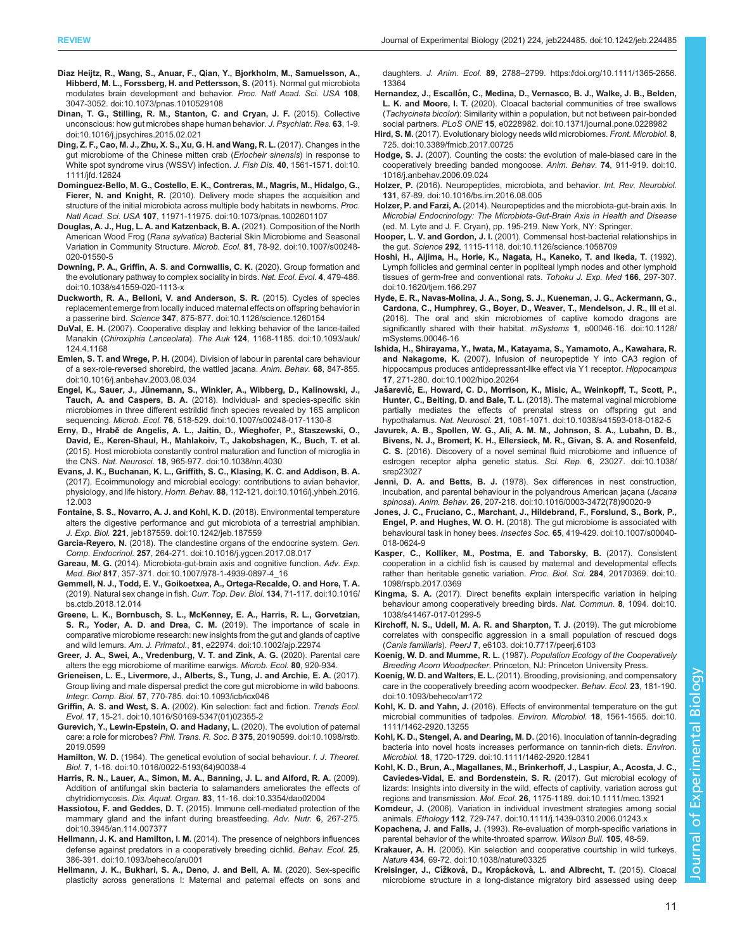- <span id="page-10-0"></span>[Diaz Heijtz, R., Wang, S., Anuar, F., Qian, Y., Bjorkholm, M., Samuelsson, A.,](https://doi.org/10.1073/pnas.1010529108) [Hibberd, M. L., Forssberg, H. and Pettersson, S.](https://doi.org/10.1073/pnas.1010529108) (2011). Normal gut microbiota [modulates brain development and behavior.](https://doi.org/10.1073/pnas.1010529108) Proc. Natl Acad. Sci. USA 108, [3047-3052. doi:10.1073/pnas.1010529108](https://doi.org/10.1073/pnas.1010529108)
- [Dinan, T. G., Stilling, R. M., Stanton, C. and Cryan, J. F.](https://doi.org/10.1016/j.jpsychires.2015.02.021) (2015). Collective [unconscious: how gut microbes shape human behavior.](https://doi.org/10.1016/j.jpsychires.2015.02.021) J. Psychiatr. Res. 63, 1-9. [doi:10.1016/j.jpsychires.2015.02.021](https://doi.org/10.1016/j.jpsychires.2015.02.021)
- [Ding, Z. F., Cao, M. J., Zhu, X. S., Xu, G. H. and Wang, R. L.](https://doi.org/10.1111/jfd.12624) (2017). Changes in the [gut microbiome of the Chinese mitten crab \(](https://doi.org/10.1111/jfd.12624)Eriocheir sinensis) in response to [White spot syndrome virus \(WSSV\) infection.](https://doi.org/10.1111/jfd.12624) J. Fish Dis. 40, 1561-1571. doi:10. [1111/jfd.12624](https://doi.org/10.1111/jfd.12624)
- [Dominguez-Bello, M. G., Costello, E. K., Contreras, M., Magris, M., Hidalgo, G.,](https://doi.org/10.1073/pnas.1002601107) Fierer, N. and Knight, R. [\(2010\). Delivery mode shapes the acquisition and](https://doi.org/10.1073/pnas.1002601107) [structure of the initial microbiota across multiple body habitats in newborns.](https://doi.org/10.1073/pnas.1002601107) Proc. Natl Acad. Sci. USA 107[, 11971-11975. doi:10.1073/pnas.1002601107](https://doi.org/10.1073/pnas.1002601107)
- [Douglas, A. J., Hug, L. A. and Katzenback, B. A.](https://doi.org/10.1007/s00248-020-01550-5) (2021). Composition of the North American Wood Frog (Rana sylvatica[\) Bacterial Skin Microbiome and Seasonal](https://doi.org/10.1007/s00248-020-01550-5) [Variation in Community Structure.](https://doi.org/10.1007/s00248-020-01550-5) Microb. Ecol. 81, 78-92. doi:10.1007/s00248- [020-01550-5](https://doi.org/10.1007/s00248-020-01550-5)
- [Downing, P. A., Griffin, A. S. and Cornwallis, C. K.](https://doi.org/10.1038/s41559-020-1113-x) (2020). Group formation and [the evolutionary pathway to complex sociality in birds.](https://doi.org/10.1038/s41559-020-1113-x) Nat. Ecol. Evol. 4, 479-486. [doi:10.1038/s41559-020-1113-x](https://doi.org/10.1038/s41559-020-1113-x)
- [Duckworth, R. A., Belloni, V. and Anderson, S. R.](https://doi.org/10.1126/science.1260154) (2015). Cycles of species [replacement emerge from locally induced maternal effects on offspring behavior in](https://doi.org/10.1126/science.1260154) a passerine bird. Science 347[, 875-877. doi:10.1126/science.1260154](https://doi.org/10.1126/science.1260154)
- DuVal, E. H. [\(2007\). Cooperative display and lekking behavior of the lance-tailed](https://doi.org/10.1093/auk/124.4.1168) Manakin (Chiroxiphia Lanceolata). The Auk 124[, 1168-1185. doi:10.1093/auk/](https://doi.org/10.1093/auk/124.4.1168) [124.4.1168](https://doi.org/10.1093/auk/124.4.1168)
- Emlen, S. T. and Wrege, P. H. [\(2004\). Division of labour in parental care behaviour](https://doi.org/10.1016/j.anbehav.2003.08.034) [of a sex-role-reversed shorebird, the wattled jacana.](https://doi.org/10.1016/j.anbehav.2003.08.034) Anim. Behav. 68, 847-855. [doi:10.1016/j.anbehav.2003.08.034](https://doi.org/10.1016/j.anbehav.2003.08.034)
- Engel, K., Sauer, J., Jü[nemann, S., Winkler, A., Wibberg, D., Kalinowski, J.,](https://doi.org/10.1007/s00248-017-1130-8) Tauch, A. and Caspers, B. A. [\(2018\). Individual- and species-specific skin](https://doi.org/10.1007/s00248-017-1130-8) [microbiomes in three different estrildid finch species revealed by 16S amplicon](https://doi.org/10.1007/s00248-017-1130-8) sequencing. Microb. Ecol. 76[, 518-529. doi:10.1007/s00248-017-1130-8](https://doi.org/10.1007/s00248-017-1130-8)
- Erny, D., Hrabě [de Angelis, A. L., Jaitin, D., Wieghofer, P., Staszewski, O.,](https://doi.org/10.1038/nn.4030) [David, E., Keren-Shaul, H., Mahlakoiv, T., Jakobshagen, K., Buch, T. et al.](https://doi.org/10.1038/nn.4030) [\(2015\). Host microbiota constantly control maturation and function of microglia in](https://doi.org/10.1038/nn.4030) the CNS. Nat. Neurosci. 18[, 965-977. doi:10.1038/nn.4030](https://doi.org/10.1038/nn.4030)
- [Evans, J. K., Buchanan, K. L., Griffith, S. C., Klasing, K. C. and Addison, B. A.](https://doi.org/10.1016/j.yhbeh.2016.12.003) [\(2017\). Ecoimmunology and microbial ecology: contributions to avian behavior,](https://doi.org/10.1016/j.yhbeh.2016.12.003) physiology, and life history. Horm. Behav. 88[, 112-121. doi:10.1016/j.yhbeh.2016.](https://doi.org/10.1016/j.yhbeh.2016.12.003) [12.003](https://doi.org/10.1016/j.yhbeh.2016.12.003)
- [Fontaine, S. S., Novarro, A. J. and Kohl, K. D.](https://doi.org/10.1242/jeb.187559) (2018). Environmental temperature [alters the digestive performance and gut microbiota of a terrestrial amphibian.](https://doi.org/10.1242/jeb.187559) J. Exp. Biol. 221[, jeb187559. doi:10.1242/jeb.187559](https://doi.org/10.1242/jeb.187559)
- Garcia-Reyero, N. [\(2018\). The clandestine organs of the endocrine system.](https://doi.org/10.1016/j.ygcen.2017.08.017) Gen. Comp. Endocrinol. 257[, 264-271. doi:10.1016/j.ygcen.2017.08.017](https://doi.org/10.1016/j.ygcen.2017.08.017)
- Gareau, M. G. [\(2014\). Microbiota-gut-brain axis and cognitive function.](https://doi.org/10.1007/978-1-4939-0897-4_16) Adv. Exp. Med. Biol 817[, 357-371. doi:10.1007/978-1-4939-0897-4\\_16](https://doi.org/10.1007/978-1-4939-0897-4_16)
- [Gemmell, N. J., Todd, E. V., Goikoetxea, A., Ortega-Recalde, O. and Hore, T. A.](https://doi.org/10.1016/bs.ctdb.2018.12.014) [\(2019\). Natural sex change in fish.](https://doi.org/10.1016/bs.ctdb.2018.12.014) Curr. Top. Dev. Biol. 134, 71-117. doi:10.1016/ [bs.ctdb.2018.12.014](https://doi.org/10.1016/bs.ctdb.2018.12.014)
- [Greene, L. K., Bornbusch, S. L., McKenney, E. A., Harris, R. L., Gorvetzian,](https://doi.org/10.1002/ajp.22974) [S. R., Yoder, A. D. and Drea, C. M.](https://doi.org/10.1002/ajp.22974) (2019). The importance of scale in [comparative microbiome research: new insights from the gut and glands of captive](https://doi.org/10.1002/ajp.22974) and wild lemurs. Am. J. Primatol., 81[, e22974. doi:10.1002/ajp.22974](https://doi.org/10.1002/ajp.22974)
- Greer, J. A., Swei, A., Vredenburg, V. T. and Zink, A. G. (2020). Parental care alters the egg microbiome of maritime earwigs. Microb. Ecol. 80, 920-934.
- [Grieneisen, L. E., Livermore, J., Alberts, S., Tung, J. and Archie, E. A.](https://doi.org/10.1093/icb/icx046) (2017). [Group living and male dispersal predict the core gut microbiome in wild baboons.](https://doi.org/10.1093/icb/icx046) Integr. Comp. Biol. 57[, 770-785. doi:10.1093/icb/icx046](https://doi.org/10.1093/icb/icx046)
- Griffin, A. S. and West, S. A. [\(2002\). Kin selection: fact and fiction.](https://doi.org/10.1016/S0169-5347(01)02355-2) Trends Ecol. Evol. 17[, 15-21. doi:10.1016/S0169-5347\(01\)02355-2](https://doi.org/10.1016/S0169-5347(01)02355-2)
- [Gurevich, Y., Lewin-Epstein, O. and Hadany, L.](https://doi.org/10.1098/rstb.2019.0599) (2020). The evolution of paternal care: a role for microbes? Phil. Trans. R. Soc. B 375[, 20190599. doi:10.1098/rstb.](https://doi.org/10.1098/rstb.2019.0599) [2019.0599](https://doi.org/10.1098/rstb.2019.0599)
- Hamilton, W. D. [\(1964\). The genetical evolution of social behaviour.](https://doi.org/10.1016/0022-5193(64)90038-4) I. J. Theoret. Biol. 7[, 1-16. doi:10.1016/0022-5193\(64\)90038-4](https://doi.org/10.1016/0022-5193(64)90038-4)
- [Harris, R. N., Lauer, A., Simon, M. A., Banning, J. L. and Alford, R. A.](https://doi.org/10.3354/dao02004) (2009). [Addition of antifungal skin bacteria to salamanders ameliorates the effects of](https://doi.org/10.3354/dao02004) chytridiomycosis. Dis. Aquat. Organ. 83[, 11-16. doi:10.3354/dao02004](https://doi.org/10.3354/dao02004)
- Hassiotou, F. and Geddes, D. T. [\(2015\). Immune cell-mediated protection of the](https://doi.org/10.3945/an.114.007377) [mammary gland and the infant during breastfeeding.](https://doi.org/10.3945/an.114.007377) Adv. Nutr. 6, 267-275. [doi:10.3945/an.114.007377](https://doi.org/10.3945/an.114.007377)
- Hellmann, J. K. and Hamilton, I. M. [\(2014\). The presence of neighbors influences](https://doi.org/10.1093/beheco/aru001) [defense against predators in a cooperatively breeding cichlid.](https://doi.org/10.1093/beheco/aru001) Behav. Ecol. 25, [386-391. doi:10.1093/beheco/aru001](https://doi.org/10.1093/beheco/aru001)
- [Hellmann, J. K., Bukhari, S. A., Deno, J. and Bell, A. M.](https://doi.org/10.1111/1365-2656.13364) (2020). Sex-specific [plasticity across generations I: Maternal and paternal effects on sons and](https://doi.org/10.1111/1365-2656.13364)

daughters. [J. Anim. Ecol.](https://doi.org/10.1111/1365-2656.13364) 89, 2788–[2799. https://doi.org/10.1111/1365-2656.](https://doi.org/10.1111/1365-2656.13364) [13364](https://doi.org/10.1111/1365-2656.13364)

- Hernandez, J., Escalló[n, C., Medina, D., Vernasco, B. J., Walke, J. B., Belden,](https://doi.org/10.1371/journal.pone.0228982) L. K. and Moore, I. T. [\(2020\). Cloacal bacterial communities of tree swallows](https://doi.org/10.1371/journal.pone.0228982) (Tachycineta bicolor[\): Similarity within a population, but not between pair-bonded](https://doi.org/10.1371/journal.pone.0228982) social partners. PLoS ONE 15[, e0228982. doi:10.1371/journal.pone.0228982](https://doi.org/10.1371/journal.pone.0228982)
- Hird, S. M. [\(2017\). Evolutionary biology needs wild microbiomes.](https://doi.org/10.3389/fmicb.2017.00725) Front. Microbiol. 8, [725. doi:10.3389/fmicb.2017.00725](https://doi.org/10.3389/fmicb.2017.00725)
- Hodge, S. J. [\(2007\). Counting the costs: the evolution of male-biased care in the](https://doi.org/10.1016/j.anbehav.2006.09.024) [cooperatively breeding banded mongoose.](https://doi.org/10.1016/j.anbehav.2006.09.024) Anim. Behav. 74, 911-919. doi:10. [1016/j.anbehav.2006.09.024](https://doi.org/10.1016/j.anbehav.2006.09.024)
- Holzer, P. [\(2016\). Neuropeptides, microbiota, and behavior.](https://doi.org/10.1016/bs.irn.2016.08.005) Int. Rev. Neurobiol. 131[, 67-89. doi:10.1016/bs.irn.2016.08.005](https://doi.org/10.1016/bs.irn.2016.08.005)
- Holzer, P. and Farzi, A. (2014). Neuropeptides and the microbiota-gut-brain axis. In Microbial Endocrinology: The Microbiota-Gut-Brain Axis in Health and Disease (ed. M. Lyte and J. F. Cryan), pp. 195-219. New York, NY: Springer.
- Hooper, L. V. and Gordon, J. I. [\(2001\). Commensal host-bacterial relationships in](https://doi.org/10.1126/science.1058709) the gut. Science 292[, 1115-1118. doi:10.1126/science.1058709](https://doi.org/10.1126/science.1058709)
- [Hoshi, H., Aijima, H., Horie, K., Nagata, H., Kaneko, T. and Ikeda, T.](https://doi.org/10.1620/tjem.166.297) (1992). [Lymph follicles and germinal center in popliteal lymph nodes and other lymphoid](https://doi.org/10.1620/tjem.166.297) [tissues of germ-free and conventional rats.](https://doi.org/10.1620/tjem.166.297) Tohoku J. Exp. Med 166, 297-307. [doi:10.1620/tjem.166.297](https://doi.org/10.1620/tjem.166.297)
- [Hyde, E. R., Navas-Molina, J. A., Song, S. J., Kueneman, J. G., Ackermann, G.,](https://doi.org/10.1128/mSystems.00046-16) [Cardona, C., Humphrey, G., Boyer, D., Weaver, T., Mendelson, J. R., III](https://doi.org/10.1128/mSystems.00046-16) et al. [\(2016\). The oral and skin microbiomes of captive komodo dragons are](https://doi.org/10.1128/mSystems.00046-16) [significantly shared with their habitat.](https://doi.org/10.1128/mSystems.00046-16) mSystems 1, e00046-16. doi:10.1128/ [mSystems.00046-16](https://doi.org/10.1128/mSystems.00046-16)
- [Ishida, H., Shirayama, Y., Iwata, M., Katayama, S., Yamamoto, A., Kawahara, R.](https://doi.org/10.1002/hipo.20264) and Nakagome, K. [\(2007\). Infusion of neuropeptide Y into CA3 region of](https://doi.org/10.1002/hipo.20264) [hippocampus produces antidepressant-like effect via Y1 receptor.](https://doi.org/10.1002/hipo.20264) Hippocampus 17[, 271-280. doi:10.1002/hipo.20264](https://doi.org/10.1002/hipo.20264)
- Jašarević[, E., Howard, C. D., Morrison, K., Misic, A., Weinkopff, T., Scott, P.,](https://doi.org/10.1038/s41593-018-0182-5) Hunter, C., Beiting, D. and Bale, T. L. [\(2018\). The maternal vaginal microbiome](https://doi.org/10.1038/s41593-018-0182-5) [partially mediates the effects of prenatal stress on offspring gut and](https://doi.org/10.1038/s41593-018-0182-5) hypothalamus. Nat. Neurosci. 21[, 1061-1071. doi:10.1038/s41593-018-0182-5](https://doi.org/10.1038/s41593-018-0182-5)
- [Javurek, A. B., Spollen, W. G., Ali, A. M. M., Johnson, S. A., Lubahn, D. B.,](https://doi.org/10.1038/srep23027) [Bivens, N. J., Bromert, K. H., Ellersieck, M. R., Givan, S. A. and Rosenfeld,](https://doi.org/10.1038/srep23027) C. S. [\(2016\). Discovery of a novel seminal fluid microbiome and influence of](https://doi.org/10.1038/srep23027) [estrogen receptor alpha genetic status.](https://doi.org/10.1038/srep23027) Sci. Rep. 6, 23027. doi:10.1038/ [srep23027](https://doi.org/10.1038/srep23027)
- Jenni, D. A. and Betts, B. J. [\(1978\). Sex differences in nest construction,](https://doi.org/10.1016/0003-3472(78)90020-9) [incubation, and parental behaviour in the polyandrous American jaçana \(](https://doi.org/10.1016/0003-3472(78)90020-9)Jacana spinosa). Anim. Behav. 26[, 207-218. doi:10.1016/0003-3472\(78\)90020-9](https://doi.org/10.1016/0003-3472(78)90020-9)
- [Jones, J. C., Fruciano, C., Marchant, J., Hildebrand, F., Forslund, S., Bork, P.,](https://doi.org/10.1007/s00040-018-0624-9) Engel, P. and Hughes, W. O. H. [\(2018\). The gut microbiome is associated with](https://doi.org/10.1007/s00040-018-0624-9) [behavioural task in honey bees.](https://doi.org/10.1007/s00040-018-0624-9) Insectes Soc. 65, 419-429. doi:10.1007/s00040- [018-0624-9](https://doi.org/10.1007/s00040-018-0624-9)
- [Kasper, C., Kolliker, M., Postma, E. and Taborsky, B.](https://doi.org/10.1098/rspb.2017.0369) (2017). Consistent [cooperation in a cichlid fish is caused by maternal and developmental effects](https://doi.org/10.1098/rspb.2017.0369) [rather than heritable genetic variation.](https://doi.org/10.1098/rspb.2017.0369) Proc. Biol. Sci. 284, 20170369. doi:10. [1098/rspb.2017.0369](https://doi.org/10.1098/rspb.2017.0369)
- Kingma, S. A. [\(2017\). Direct benefits explain interspecific variation in helping](https://doi.org/10.1038/s41467-017-01299-5) [behaviour among cooperatively breeding birds.](https://doi.org/10.1038/s41467-017-01299-5) Nat. Commun. 8, 1094. doi:10. [1038/s41467-017-01299-5](https://doi.org/10.1038/s41467-017-01299-5)
- [Kirchoff, N. S., Udell, M. A. R. and Sharpton, T. J.](https://doi.org/10.7717/peerj.6103) (2019). The gut microbiome [correlates with conspecific aggression in a small population of rescued dogs](https://doi.org/10.7717/peerj.6103) (Canis familiaris). PeerJ 7[, e6103. doi:10.7717/peerj.6103](https://doi.org/10.7717/peerj.6103)
- Koenig, W. D. and Mumme, R. L. (1987). Population Ecology of the Cooperatively Breeding Acorn Woodpecker. Princeton, NJ: Princeton University Press.
- Koenig, W. D. and Walters, E. L. [\(2011\). Brooding, provisioning, and compensatory](https://doi.org/10.1093/beheco/arr172) [care in the cooperatively breeding acorn woodpecker.](https://doi.org/10.1093/beheco/arr172) Behav. Ecol. 23, 181-190. [doi:10.1093/beheco/arr172](https://doi.org/10.1093/beheco/arr172)
- Kohl, K. D. and Yahn, J. [\(2016\). Effects of environmental temperature on the gut](https://doi.org/10.1111/1462-2920.13255) [microbial communities of tadpoles.](https://doi.org/10.1111/1462-2920.13255) Environ. Microbiol. 18, 1561-1565. doi:10. [1111/1462-2920.13255](https://doi.org/10.1111/1462-2920.13255)
- [Kohl, K. D., Stengel, A. and Dearing, M. D.](https://doi.org/10.1111/1462-2920.12841) (2016). Inoculation of tannin-degrading [bacteria into novel hosts increases performance on tannin-rich diets.](https://doi.org/10.1111/1462-2920.12841) Environ. Microbiol. 18[, 1720-1729. doi:10.1111/1462-2920.12841](https://doi.org/10.1111/1462-2920.12841)

[Kohl, K. D., Brun, A., Magallanes, M., Brinkerhoff, J., Laspiur, A., Acosta, J. C.,](https://doi.org/10.1111/mec.13921) [Caviedes-Vidal, E. and Bordenstein, S. R.](https://doi.org/10.1111/mec.13921) (2017). Gut microbial ecology of [lizards: Insights into diversity in the wild, effects of captivity, variation across gut](https://doi.org/10.1111/mec.13921) regions and transmission. Mol. Ecol. 26[, 1175-1189. doi:10.1111/mec.13921](https://doi.org/10.1111/mec.13921)

Komdeur, J. [\(2006\). Variation in individual investment strategies among social](https://doi.org/10.1111/j.1439-0310.2006.01243.x) animals. Ethology 112[, 729-747. doi:10.1111/j.1439-0310.2006.01243.x](https://doi.org/10.1111/j.1439-0310.2006.01243.x)

Kopachena, J. and Falls, J. (1993). Re-evaluation of morph-specific variations in parental behavior of the white-throated sparrow. Wilson Bull. 105, 48-59.

Krakauer, A. H. [\(2005\). Kin selection and cooperative courtship in wild turkeys.](https://doi.org/10.1038/nature03325) Nature 434[, 69-72. doi:10.1038/nature03325](https://doi.org/10.1038/nature03325)

Kreisinger, J., Cížková, D., Kropácková[, L. and Albrecht, T.](https://doi.org/10.1371/journal.pone.0137401) (2015). Cloacal [microbiome structure in a long-distance migratory bird assessed using deep](https://doi.org/10.1371/journal.pone.0137401)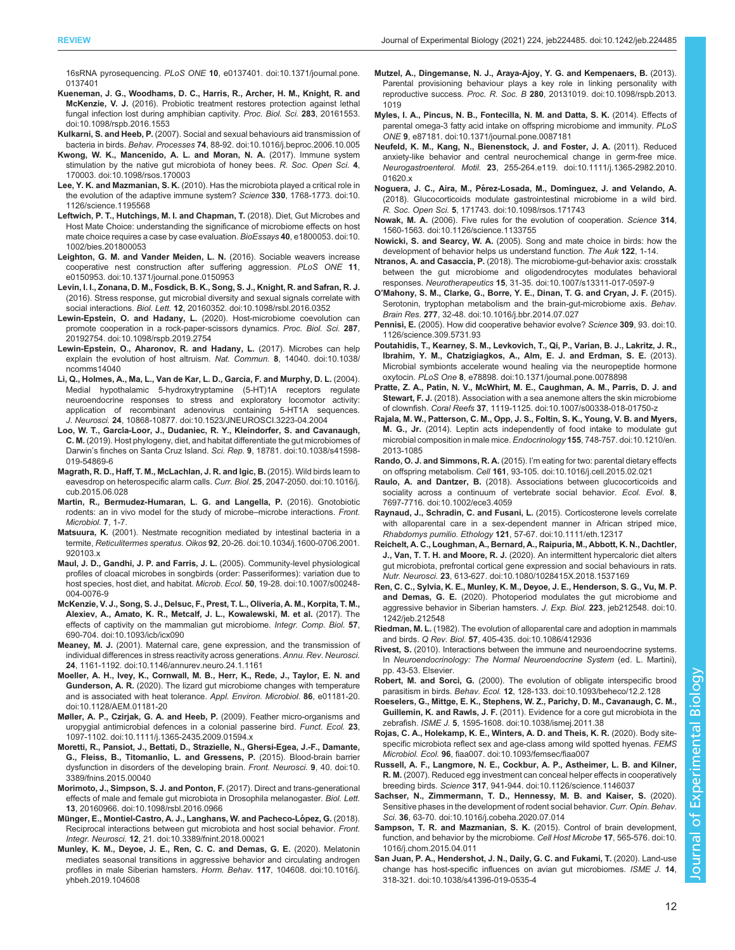<span id="page-11-0"></span>16sRNA pyrosequencing. PLoS ONE 10[, e0137401. doi:10.1371/journal.pone.](https://doi.org/10.1371/journal.pone.0137401) [0137401](https://doi.org/10.1371/journal.pone.0137401)

- [Kueneman, J. G., Woodhams, D. C., Harris, R., Archer, H. M., Knight, R. and](https://doi.org/10.1098/rspb.2016.1553) McKenzie, V. J. [\(2016\). Probiotic treatment restores protection against lethal](https://doi.org/10.1098/rspb.2016.1553) [fungal infection lost during amphibian captivity.](https://doi.org/10.1098/rspb.2016.1553) Proc. Biol. Sci. 283, 20161553. [doi:10.1098/rspb.2016.1553](https://doi.org/10.1098/rspb.2016.1553)
- Kulkarni, S. and Heeb, P. [\(2007\). Social and sexual behaviours aid transmission of](https://doi.org/10.1016/j.beproc.2006.10.005) bacteria in birds. Behav. Processes 74[, 88-92. doi:10.1016/j.beproc.2006.10.005](https://doi.org/10.1016/j.beproc.2006.10.005)
- [Kwong, W. K., Mancenido, A. L. and Moran, N. A.](https://doi.org/10.1098/rsos.170003) (2017). Immune system [stimulation by the native gut microbiota of honey bees.](https://doi.org/10.1098/rsos.170003) R. Soc. Open Sci. 4, [170003. doi:10.1098/rsos.170003](https://doi.org/10.1098/rsos.170003)
- Lee, Y. K. and Mazmanian, S. K. [\(2010\). Has the microbiota played a critical role in](https://doi.org/10.1126/science.1195568) [the evolution of the adaptive immune system?](https://doi.org/10.1126/science.1195568) Science 330, 1768-1773. doi:10. [1126/science.1195568](https://doi.org/10.1126/science.1195568)
- [Leftwich, P. T., Hutchings, M. I. and Chapman, T.](https://doi.org/10.1002/bies.201800053) (2018). Diet, Gut Microbes and [Host Mate Choice: understanding the significance of microbiome effects on host](https://doi.org/10.1002/bies.201800053) [mate choice requires a case by case evaluation.](https://doi.org/10.1002/bies.201800053) BioEssays 40, e1800053. doi:10. [1002/bies.201800053](https://doi.org/10.1002/bies.201800053)
- [Leighton, G. M. and Vander Meiden, L. N.](https://doi.org/10.1371/journal.pone.0150953) (2016). Sociable weavers increase [cooperative nest construction after suffering aggression.](https://doi.org/10.1371/journal.pone.0150953) PLoS ONE 11, [e0150953. doi:10.1371/journal.pone.0150953](https://doi.org/10.1371/journal.pone.0150953)
- [Levin, I. I., Zonana, D. M., Fosdick, B. K., Song, S. J., Knight, R. and Safran, R. J.](https://doi.org/10.1098/rsbl.2016.0352) [\(2016\). Stress response, gut microbial diversity and sexual signals correlate with](https://doi.org/10.1098/rsbl.2016.0352) social interactions. Biol. Lett. 12[, 20160352. doi:10.1098/rsbl.2016.0352](https://doi.org/10.1098/rsbl.2016.0352)
- Lewin-Epstein, O. and Hadany, L. [\(2020\). Host-microbiome coevolution can](https://doi.org/10.1098/rspb.2019.2754) [promote cooperation in a rock-paper-scissors dynamics.](https://doi.org/10.1098/rspb.2019.2754) Proc. Biol. Sci. 287, [20192754. doi:10.1098/rspb.2019.2754](https://doi.org/10.1098/rspb.2019.2754)
- [Lewin-Epstein, O., Aharonov, R. and Hadany, L.](https://doi.org/10.1038/ncomms14040) (2017). Microbes can help [explain the evolution of host altruism.](https://doi.org/10.1038/ncomms14040) Nat. Commun. 8, 14040. doi:10.1038/ [ncomms14040](https://doi.org/10.1038/ncomms14040)
- [Li, Q., Holmes, A., Ma, L., Van de Kar, L. D., Garcia, F. and Murphy, D. L.](https://doi.org/10.1523/JNEUROSCI.3223-04.2004) (2004). [Medial hypothalamic 5-hydroxytryptamine \(5-HT\)1A receptors regulate](https://doi.org/10.1523/JNEUROSCI.3223-04.2004) [neuroendocrine responses to stress and exploratory locomotor activity:](https://doi.org/10.1523/JNEUROSCI.3223-04.2004) [application of recombinant adenovirus containing 5-HT1A sequences.](https://doi.org/10.1523/JNEUROSCI.3223-04.2004) J. Neurosci. 24[, 10868-10877. doi:10.1523/JNEUROSCI.3223-04.2004](https://doi.org/10.1523/JNEUROSCI.3223-04.2004)
- Loo, W. T., Garcí[a-Loor, J., Dudaniec, R. Y., Kleindorfer, S. and Cavanaugh,](https://doi.org/10.1038/s41598-019-54869-6) C. M. [\(2019\). Host phylogeny, diet, and habitat differentiate the gut microbiomes of](https://doi.org/10.1038/s41598-019-54869-6) Darwin'[s finches on Santa Cruz Island.](https://doi.org/10.1038/s41598-019-54869-6) Sci. Rep. 9, 18781. doi:10.1038/s41598- [019-54869-6](https://doi.org/10.1038/s41598-019-54869-6)
- [Magrath, R. D., Haff, T. M., McLachlan, J. R. and Igic, B.](https://doi.org/10.1016/j.cub.2015.06.028) (2015). Wild birds learn to [eavesdrop on heterospecific alarm calls.](https://doi.org/10.1016/j.cub.2015.06.028) Curr. Biol. 25, 2047-2050. doi:10.1016/j. [cub.2015.06.028](https://doi.org/10.1016/j.cub.2015.06.028)
- Martin, R., Bermudez-Humaran, L. G. and Langella, P. (2016). Gnotobiotic rodents: an in vivo model for the study of microbe–microbe interactions. Front. Microbiol. 7, 1-7.
- Matsuura, K. [\(2001\). Nestmate recognition mediated by intestinal bacteria in a](https://doi.org/10.1034/j.1600-0706.2001.920103.x) termite, Reticulitermes speratus. Oikos 92[, 20-26. doi:10.1034/j.1600-0706.2001.](https://doi.org/10.1034/j.1600-0706.2001.920103.x) [920103.x](https://doi.org/10.1034/j.1600-0706.2001.920103.x)
- [Maul, J. D., Gandhi, J. P. and Farris, J. L.](https://doi.org/10.1007/s00248-004-0076-9) (2005). Community-level physiological [profiles of cloacal microbes in songbirds \(order: Passeriformes\): variation due to](https://doi.org/10.1007/s00248-004-0076-9) [host species, host diet, and habitat.](https://doi.org/10.1007/s00248-004-0076-9) Microb. Ecol. 50, 19-28. doi:10.1007/s00248-[004-0076-9](https://doi.org/10.1007/s00248-004-0076-9)
- [McKenzie, V. J., Song, S. J., Delsuc, F., Prest, T. L., Oliveria, A. M., Korpita, T. M.,](https://doi.org/10.1093/icb/icx090) [Alexiev, A., Amato, K. R., Metcalf, J. L., Kowalewski, M. et al.](https://doi.org/10.1093/icb/icx090) (2017). The [effects of captivity on the mammalian gut microbiome.](https://doi.org/10.1093/icb/icx090) Integr. Comp. Biol. 57, [690-704. doi:10.1093/icb/icx090](https://doi.org/10.1093/icb/icx090)
- Meaney, M. J. [\(2001\). Maternal care, gene expression, and the transmission of](https://doi.org/10.1146/annurev.neuro.24.1.1161) [individual differences in stress reactivity across generations.](https://doi.org/10.1146/annurev.neuro.24.1.1161) Annu. Rev. Neurosci. 24[, 1161-1192. doi:10.1146/annurev.neuro.24.1.1161](https://doi.org/10.1146/annurev.neuro.24.1.1161)
- [Moeller, A. H., Ivey, K., Cornwall, M. B., Herr, K., Rede, J., Taylor, E. N. and](https://doi.org/10.1128/AEM.01181-20) Gunderson, A. R. [\(2020\). The lizard gut microbiome changes with temperature](https://doi.org/10.1128/AEM.01181-20) [and is associated with heat tolerance.](https://doi.org/10.1128/AEM.01181-20) Appl. Environ. Microbiol. 86, e01181-20. [doi:10.1128/AEM.01181-20](https://doi.org/10.1128/AEM.01181-20)
- [Møller, A. P., Czirjak, G. A. and Heeb, P.](https://doi.org/10.1111/j.1365-2435.2009.01594.x) (2009). Feather micro-organisms and [uropygial antimicrobial defences in a colonial passerine bird.](https://doi.org/10.1111/j.1365-2435.2009.01594.x) Funct. Ecol. 23, [1097-1102. doi:10.1111/j.1365-2435.2009.01594.x](https://doi.org/10.1111/j.1365-2435.2009.01594.x)
- [Moretti, R., Pansiot, J., Bettati, D., Strazielle, N., Ghersi-Egea, J.-F., Damante,](https://doi.org/10.3389/fnins.2015.00040) [G., Fleiss, B., Titomanlio, L. and Gressens, P.](https://doi.org/10.3389/fnins.2015.00040) (2015). Blood-brain barrier [dysfunction in disorders of the developing brain.](https://doi.org/10.3389/fnins.2015.00040) Front. Neurosci. 9, 40. doi:10. [3389/fnins.2015.00040](https://doi.org/10.3389/fnins.2015.00040)
- [Morimoto, J., Simpson, S. J. and Ponton, F.](https://doi.org/10.1098/rsbl.2016.0966) (2017). Direct and trans-generational [effects of male and female gut microbiota in Drosophila melanogaster.](https://doi.org/10.1098/rsbl.2016.0966) Biol. Lett. 13[, 20160966. doi:10.1098/rsbl.2016.0966](https://doi.org/10.1098/rsbl.2016.0966)
- Münger, E., Montiel-Castro, A. J., Langhans, W. and Pacheco-López, G. (2018). [Reciprocal interactions between gut microbiota and host social behavior.](https://doi.org/10.3389/fnint.2018.00021) Front. Integr. Neurosci. 12[, 21. doi:10.3389/fnint.2018.00021](https://doi.org/10.3389/fnint.2018.00021)
- [Munley, K. M., Deyoe, J. E., Ren, C. C. and Demas, G. E.](https://doi.org/10.1016/j.yhbeh.2019.104608) (2020). Melatonin [mediates seasonal transitions in aggressive behavior and circulating androgen](https://doi.org/10.1016/j.yhbeh.2019.104608) [profiles in male Siberian hamsters.](https://doi.org/10.1016/j.yhbeh.2019.104608) Horm. Behav. 117, 104608. doi:10.1016/j. [yhbeh.2019.104608](https://doi.org/10.1016/j.yhbeh.2019.104608)
- [Mutzel, A., Dingemanse, N. J., Araya-Ajoy, Y. G. and Kempenaers, B.](https://doi.org/10.1098/rspb.2013.1019) (2013). [Parental provisioning behaviour plays a key role in linking personality with](https://doi.org/10.1098/rspb.2013.1019) reproductive success. Proc. R. Soc. B 280[, 20131019. doi:10.1098/rspb.2013.](https://doi.org/10.1098/rspb.2013.1019) [1019](https://doi.org/10.1098/rspb.2013.1019)
- [Myles, I. A., Pincus, N. B., Fontecilla, N. M. and Datta, S. K.](https://doi.org/10.1371/journal.pone.0087181) (2014). Effects of [parental omega-3 fatty acid intake on offspring microbiome and immunity.](https://doi.org/10.1371/journal.pone.0087181) PLoS ONE 9[, e87181. doi:10.1371/journal.pone.0087181](https://doi.org/10.1371/journal.pone.0087181)
- [Neufeld, K. M., Kang, N., Bienenstock, J. and Foster, J. A.](https://doi.org/10.1111/j.1365-2982.2010.01620.x) (2011). Reduced [anxiety-like behavior and central neurochemical change in germ-free mice.](https://doi.org/10.1111/j.1365-2982.2010.01620.x) Neurogastroenterol. Motil. 23[, 255-264.e119. doi:10.1111/j.1365-2982.2010.](https://doi.org/10.1111/j.1365-2982.2010.01620.x) [01620.x](https://doi.org/10.1111/j.1365-2982.2010.01620.x)
- Noguera, J. C., Aira, M., Pérez-Losada, M., Domínguez, J. and Velando, A. [\(2018\). Glucocorticoids modulate gastrointestinal microbiome in a wild bird.](https://doi.org/10.1098/rsos.171743) R. Soc. Open Sci. 5[, 171743. doi:10.1098/rsos.171743](https://doi.org/10.1098/rsos.171743)
- Nowak, M. A. [\(2006\). Five rules for the evolution of cooperation.](https://doi.org/10.1126/science.1133755) Science 314, [1560-1563. doi:10.1126/science.1133755](https://doi.org/10.1126/science.1133755)
- Nowicki, S. and Searcy, W. A. (2005). Song and mate choice in birds: how the development of behavior helps us understand function. The Auk 122, 1-14.
- Ntranos, A. and Casaccia, P. [\(2018\). The microbiome-gut-behavior axis: crosstalk](https://doi.org/10.1007/s13311-017-0597-9) [between the gut microbiome and oligodendrocytes modulates behavioral](https://doi.org/10.1007/s13311-017-0597-9) responses. Neurotherapeutics 15[, 31-35. doi:10.1007/s13311-017-0597-9](https://doi.org/10.1007/s13311-017-0597-9)
- O'[Mahony, S. M., Clarke, G., Borre, Y. E., Dinan, T. G. and Cryan, J. F.](https://doi.org/10.1016/j.bbr.2014.07.027) (2015). [Serotonin, tryptophan metabolism and the brain-gut-microbiome axis.](https://doi.org/10.1016/j.bbr.2014.07.027) Behav. Brain Res. 277[, 32-48. doi:10.1016/j.bbr.2014.07.027](https://doi.org/10.1016/j.bbr.2014.07.027)
- Pennisi, E. [\(2005\). How did cooperative behavior evolve?](https://doi.org/10.1126/science.309.5731.93) Science 309, 93. doi:10. [1126/science.309.5731.93](https://doi.org/10.1126/science.309.5731.93)
- [Poutahidis, T., Kearney, S. M., Levkovich, T., Qi, P., Varian, B. J., Lakritz, J. R.,](https://doi.org/10.1371/journal.pone.0078898) [Ibrahim, Y. M., Chatzigiagkos, A., Alm, E. J. and Erdman, S. E.](https://doi.org/10.1371/journal.pone.0078898) (2013). [Microbial symbionts accelerate wound healing via the neuropeptide hormone](https://doi.org/10.1371/journal.pone.0078898) oxytocin. PLoS One 8[, e78898. doi:10.1371/journal.pone.0078898](https://doi.org/10.1371/journal.pone.0078898)
- [Pratte, Z. A., Patin, N. V., McWhirt, M. E., Caughman, A. M., Parris, D. J. and](https://doi.org/10.1007/s00338-018-01750-z) Stewart, F. J. [\(2018\). Association with a sea anemone alters the skin microbiome](https://doi.org/10.1007/s00338-018-01750-z) of clownfish. Coral Reefs 37[, 1119-1125. doi:10.1007/s00338-018-01750-z](https://doi.org/10.1007/s00338-018-01750-z)
- [Rajala, M. W., Patterson, C. M., Opp, J. S., Foltin, S. K., Young, V. B. and Myers,](https://doi.org/10.1210/en.2013-1085) M. G., Jr. [\(2014\). Leptin acts independently of food intake to modulate gut](https://doi.org/10.1210/en.2013-1085) [microbial composition in male mice.](https://doi.org/10.1210/en.2013-1085) Endocrinology 155, 748-757. doi:10.1210/en. [2013-1085](https://doi.org/10.1210/en.2013-1085)
- Rando, O. J. and Simmons, R. A. (2015). I'[m eating for two: parental dietary effects](https://doi.org/10.1016/j.cell.2015.02.021) on offspring metabolism. Cell 161[, 93-105. doi:10.1016/j.cell.2015.02.021](https://doi.org/10.1016/j.cell.2015.02.021)
- Raulo, A. and Dantzer, B. [\(2018\). Associations between glucocorticoids and](https://doi.org/10.1002/ece3.4059) [sociality across a continuum of vertebrate social behavior.](https://doi.org/10.1002/ece3.4059) Ecol. Evol. 8, [7697-7716. doi:10.1002/ece3.4059](https://doi.org/10.1002/ece3.4059)
- [Raynaud, J., Schradin, C. and Fusani, L.](https://doi.org/10.1111/eth.12317) (2015). Corticosterone levels correlate [with alloparental care in a sex-dependent manner in African striped mice,](https://doi.org/10.1111/eth.12317) Rhabdomys pumilio. Ethology 121[, 57-67. doi:10.1111/eth.12317](https://doi.org/10.1111/eth.12317)
- [Reichelt, A. C., Loughman, A., Bernard, A., Raipuria, M., Abbott, K. N., Dachtler,](https://doi.org/10.1080/1028415X.2018.1537169) J., Van, T. T. H. and Moore, R. J. [\(2020\). An intermittent hypercaloric diet alters](https://doi.org/10.1080/1028415X.2018.1537169) [gut microbiota, prefrontal cortical gene expression and social behaviours in rats.](https://doi.org/10.1080/1028415X.2018.1537169) Nutr. Neurosci. 23[, 613-627. doi:10.1080/1028415X.2018.1537169](https://doi.org/10.1080/1028415X.2018.1537169)
- [Ren, C. C., Sylvia, K. E., Munley, K. M., Deyoe, J. E., Henderson, S. G., Vu, M. P.](https://doi.org/10.1242/jeb.212548) and Demas, G. E. [\(2020\). Photoperiod modulates the gut microbiome and](https://doi.org/10.1242/jeb.212548) [aggressive behavior in Siberian hamsters.](https://doi.org/10.1242/jeb.212548) J. Exp. Biol. 223, jeb212548. doi:10. [1242/jeb.212548](https://doi.org/10.1242/jeb.212548)
- Riedman, M. L. [\(1982\). The evolution of alloparental care and adoption in mammals](https://doi.org/10.1086/412936) and birds. Q Rev. Biol. 57[, 405-435. doi:10.1086/412936](https://doi.org/10.1086/412936)
- Rivest, S. (2010). Interactions between the immune and neuroendocrine systems. In Neuroendocrinology: The Normal Neuroendocrine System (ed. L. Martini), pp. 43-53. Elsevier.
- Robert, M. and Sorci, G. [\(2000\). The evolution of obligate interspecific brood](https://doi.org/10.1093/beheco/12.2.128) parasitism in birds. Behav. Ecol. 12[, 128-133. doi:10.1093/beheco/12.2.128](https://doi.org/10.1093/beheco/12.2.128)
- [Roeselers, G., Mittge, E. K., Stephens, W. Z., Parichy, D. M., Cavanaugh, C. M.,](https://doi.org/10.1038/ismej.2011.38) Guillemin, K. and Rawls, J. F. [\(2011\). Evidence for a core gut microbiota in the](https://doi.org/10.1038/ismej.2011.38) zebrafish. ISME J. 5[, 1595-1608. doi:10.1038/ismej.2011.38](https://doi.org/10.1038/ismej.2011.38)
- [Rojas, C. A., Holekamp, K. E., Winters, A. D. and Theis, K. R.](https://doi.org/10.1093/femsec/fiaa007) (2020). Body site[specific microbiota reflect sex and age-class among wild spotted hyenas.](https://doi.org/10.1093/femsec/fiaa007) FEMS Microbiol. Ecol. 96[, fiaa007. doi:10.1093/femsec/fiaa007](https://doi.org/10.1093/femsec/fiaa007)
- [Russell, A. F., Langmore, N. E., Cockbur, A. P., Astheimer, L. B. and Kilner,](https://doi.org/10.1126/science.1146037) R. M. [\(2007\). Reduced egg investment can conceal helper effects in cooperatively](https://doi.org/10.1126/science.1146037) breeding birds. Science 317[, 941-944. doi:10.1126/science.1146037](https://doi.org/10.1126/science.1146037)
- [Sachser, N., Zimmermann, T. D., Hennessy, M. B. and Kaiser, S.](https://doi.org/10.1016/j.cobeha.2020.07.014) (2020). [Sensitive phases in the development of rodent social behavior.](https://doi.org/10.1016/j.cobeha.2020.07.014) Curr. Opin. Behav. Sci. 36[, 63-70. doi:10.1016/j.cobeha.2020.07.014](https://doi.org/10.1016/j.cobeha.2020.07.014)
- [Sampson, T. R. and Mazmanian, S. K.](https://doi.org/10.1016/j.chom.2015.04.011) (2015). Control of brain development, [function, and behavior by the microbiome.](https://doi.org/10.1016/j.chom.2015.04.011) Cell Host Microbe 17, 565-576. doi:10. [1016/j.chom.2015.04.011](https://doi.org/10.1016/j.chom.2015.04.011)
- [San Juan, P. A., Hendershot, J. N., Daily, G. C. and Fukami, T.](https://doi.org/10.1038/s41396-019-0535-4) (2020). Land-use [change has host-specific influences on avian gut microbiomes.](https://doi.org/10.1038/s41396-019-0535-4) ISME J. 14, [318-321. doi:10.1038/s41396-019-0535-4](https://doi.org/10.1038/s41396-019-0535-4)